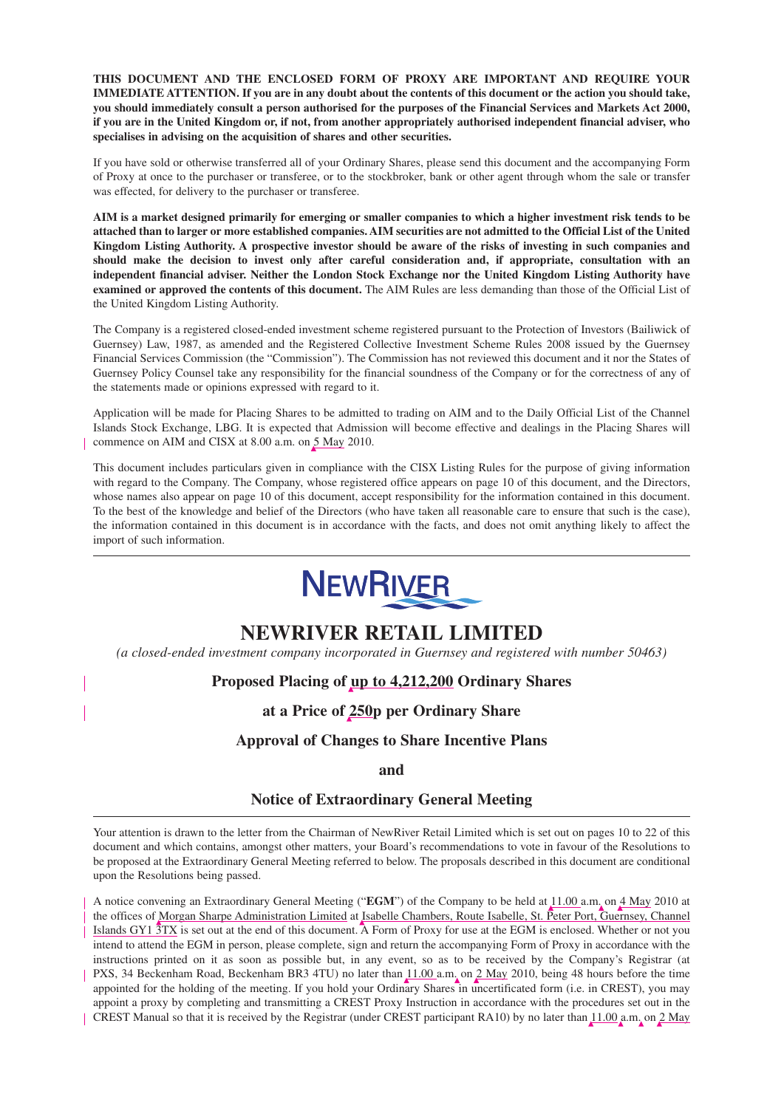**THIS DOCUMENT AND THE ENCLOSED FORM OF PROXY ARE IMPORTANT AND REQUIRE YOUR IMMEDIATE ATTENTION. If you are in any doubt about the contents of this document or the action you should take, you should immediately consult a person authorised for the purposes of the Financial Services and Markets Act 2000, if you are in the United Kingdom or, if not, from another appropriately authorised independent financial adviser, who specialises in advising on the acquisition of shares and other securities.**

If you have sold or otherwise transferred all of your Ordinary Shares, please send this document and the accompanying Form of Proxy at once to the purchaser or transferee, or to the stockbroker, bank or other agent through whom the sale or transfer was effected, for delivery to the purchaser or transferee.

**AIM is a market designed primarily for emerging or smaller companies to which a higher investment risk tends to be attached than to larger or more established companies. AIM securities are not admitted to the Official List of the United Kingdom Listing Authority. A prospective investor should be aware of the risks of investing in such companies and should make the decision to invest only after careful consideration and, if appropriate, consultation with an independent financial adviser. Neither the London Stock Exchange nor the United Kingdom Listing Authority have examined or approved the contents of this document.** The AIM Rules are less demanding than those of the Official List of the United Kingdom Listing Authority.

The Company is a registered closed-ended investment scheme registered pursuant to the Protection of Investors (Bailiwick of Guernsey) Law, 1987, as amended and the Registered Collective Investment Scheme Rules 2008 issued by the Guernsey Financial Services Commission (the "Commission"). The Commission has not reviewed this document and it nor the States of Guernsey Policy Counsel take any responsibility for the financial soundness of the Company or for the correctness of any of the statements made or opinions expressed with regard to it.

Application will be made for Placing Shares to be admitted to trading on AIM and to the Daily Official List of the Channel Islands Stock Exchange, LBG. It is expected that Admission will become effective and dealings in the Placing Shares will commence on AIM and CISX at 8.00 a.m. on 5 May 2010.

This document includes particulars given in compliance with the CISX Listing Rules for the purpose of giving information with regard to the Company. The Company, whose registered office appears on page 10 of this document, and the Directors, whose names also appear on page 10 of this document, accept responsibility for the information contained in this document. To the best of the knowledge and belief of the Directors (who have taken all reasonable care to ensure that such is the case), the information contained in this document is in accordance with the facts, and does not omit anything likely to affect the import of such information.



# **NEWRIVER RETAIL LIMITED**

*(a closed-ended investment company incorporated in Guernsey and registered with number 50463)*

# **Proposed Placing of up to 4,212,200 Ordinary Shares**

**at a Price of 250p per Ordinary Share**

# **Approval of Changes to Share Incentive Plans**

**and**

# **Notice of Extraordinary General Meeting**

Your attention is drawn to the letter from the Chairman of NewRiver Retail Limited which is set out on pages 10 to 22 of this document and which contains, amongst other matters, your Board's recommendations to vote in favour of the Resolutions to be proposed at the Extraordinary General Meeting referred to below. The proposals described in this document are conditional upon the Resolutions being passed.

A notice convening an Extraordinary General Meeting ("**EGM**") of the Company to be held at 11.00 a.m. on 4 May 2010 at the offices of Morgan Sharpe Administration Limited at Isabelle Chambers, Route Isabelle, St. Peter Port, Guernsey, Channel Islands GY1 3TX is set out at the end of this document. A Form of Proxy for use at the EGM is enclosed. Whether or not you intend to attend the EGM in person, please complete, sign and return the accompanying Form of Proxy in accordance with the instructions printed on it as soon as possible but, in any event, so as to be received by the Company's Registrar (at PXS, 34 Beckenham Road, Beckenham BR3 4TU) no later than 11.00 a.m. on 2 May 2010, being 48 hours before the time appointed for the holding of the meeting. If you hold your Ordinary Shares in uncertificated form (i.e. in CREST), you may appoint a proxy by completing and transmitting a CREST Proxy Instruction in accordance with the procedures set out in the CREST Manual so that it is received by the Registrar (under CREST participant RA10) by no later than 11.00 a.m. on 2 May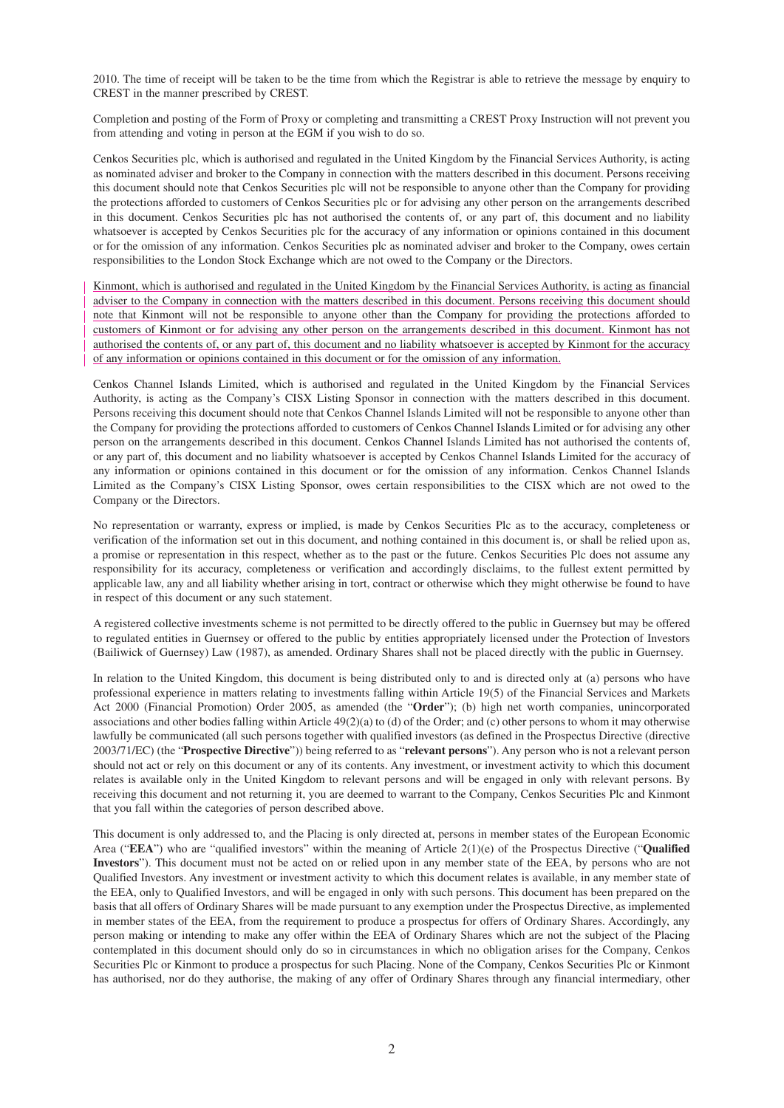2010. The time of receipt will be taken to be the time from which the Registrar is able to retrieve the message by enquiry to CREST in the manner prescribed by CREST.

Completion and posting of the Form of Proxy or completing and transmitting a CREST Proxy Instruction will not prevent you from attending and voting in person at the EGM if you wish to do so.

Cenkos Securities plc, which is authorised and regulated in the United Kingdom by the Financial Services Authority, is acting as nominated adviser and broker to the Company in connection with the matters described in this document. Persons receiving this document should note that Cenkos Securities plc will not be responsible to anyone other than the Company for providing the protections afforded to customers of Cenkos Securities plc or for advising any other person on the arrangements described in this document. Cenkos Securities plc has not authorised the contents of, or any part of, this document and no liability whatsoever is accepted by Cenkos Securities plc for the accuracy of any information or opinions contained in this document or for the omission of any information. Cenkos Securities plc as nominated adviser and broker to the Company, owes certain responsibilities to the London Stock Exchange which are not owed to the Company or the Directors.

Kinmont, which is authorised and regulated in the United Kingdom by the Financial Services Authority, is acting as financial adviser to the Company in connection with the matters described in this document. Persons receiving this document should note that Kinmont will not be responsible to anyone other than the Company for providing the protections afforded to customers of Kinmont or for advising any other person on the arrangements described in this document. Kinmont has not authorised the contents of, or any part of, this document and no liability whatsoever is accepted by Kinmont for the accuracy of any information or opinions contained in this document or for the omission of any information.

Cenkos Channel Islands Limited, which is authorised and regulated in the United Kingdom by the Financial Services Authority, is acting as the Company's CISX Listing Sponsor in connection with the matters described in this document. Persons receiving this document should note that Cenkos Channel Islands Limited will not be responsible to anyone other than the Company for providing the protections afforded to customers of Cenkos Channel Islands Limited or for advising any other person on the arrangements described in this document. Cenkos Channel Islands Limited has not authorised the contents of, or any part of, this document and no liability whatsoever is accepted by Cenkos Channel Islands Limited for the accuracy of any information or opinions contained in this document or for the omission of any information. Cenkos Channel Islands Limited as the Company's CISX Listing Sponsor, owes certain responsibilities to the CISX which are not owed to the Company or the Directors.

No representation or warranty, express or implied, is made by Cenkos Securities Plc as to the accuracy, completeness or verification of the information set out in this document, and nothing contained in this document is, or shall be relied upon as, a promise or representation in this respect, whether as to the past or the future. Cenkos Securities Plc does not assume any responsibility for its accuracy, completeness or verification and accordingly disclaims, to the fullest extent permitted by applicable law, any and all liability whether arising in tort, contract or otherwise which they might otherwise be found to have in respect of this document or any such statement.

A registered collective investments scheme is not permitted to be directly offered to the public in Guernsey but may be offered to regulated entities in Guernsey or offered to the public by entities appropriately licensed under the Protection of Investors (Bailiwick of Guernsey) Law (1987), as amended. Ordinary Shares shall not be placed directly with the public in Guernsey.

In relation to the United Kingdom, this document is being distributed only to and is directed only at (a) persons who have professional experience in matters relating to investments falling within Article 19(5) of the Financial Services and Markets Act 2000 (Financial Promotion) Order 2005, as amended (the "**Order**"); (b) high net worth companies, unincorporated associations and other bodies falling within Article 49(2)(a) to (d) of the Order; and (c) other persons to whom it may otherwise lawfully be communicated (all such persons together with qualified investors (as defined in the Prospectus Directive (directive 2003/71/EC) (the "**Prospective Directive**")) being referred to as "**relevant persons**"). Any person who is not a relevant person should not act or rely on this document or any of its contents. Any investment, or investment activity to which this document relates is available only in the United Kingdom to relevant persons and will be engaged in only with relevant persons. By receiving this document and not returning it, you are deemed to warrant to the Company, Cenkos Securities Plc and Kinmont that you fall within the categories of person described above.

This document is only addressed to, and the Placing is only directed at, persons in member states of the European Economic Area ("**EEA**") who are "qualified investors" within the meaning of Article 2(1)(e) of the Prospectus Directive ("**Qualified Investors**"). This document must not be acted on or relied upon in any member state of the EEA, by persons who are not Qualified Investors. Any investment or investment activity to which this document relates is available, in any member state of the EEA, only to Qualified Investors, and will be engaged in only with such persons. This document has been prepared on the basis that all offers of Ordinary Shares will be made pursuant to any exemption under the Prospectus Directive, as implemented in member states of the EEA, from the requirement to produce a prospectus for offers of Ordinary Shares. Accordingly, any person making or intending to make any offer within the EEA of Ordinary Shares which are not the subject of the Placing contemplated in this document should only do so in circumstances in which no obligation arises for the Company, Cenkos Securities Plc or Kinmont to produce a prospectus for such Placing. None of the Company, Cenkos Securities Plc or Kinmont has authorised, nor do they authorise, the making of any offer of Ordinary Shares through any financial intermediary, other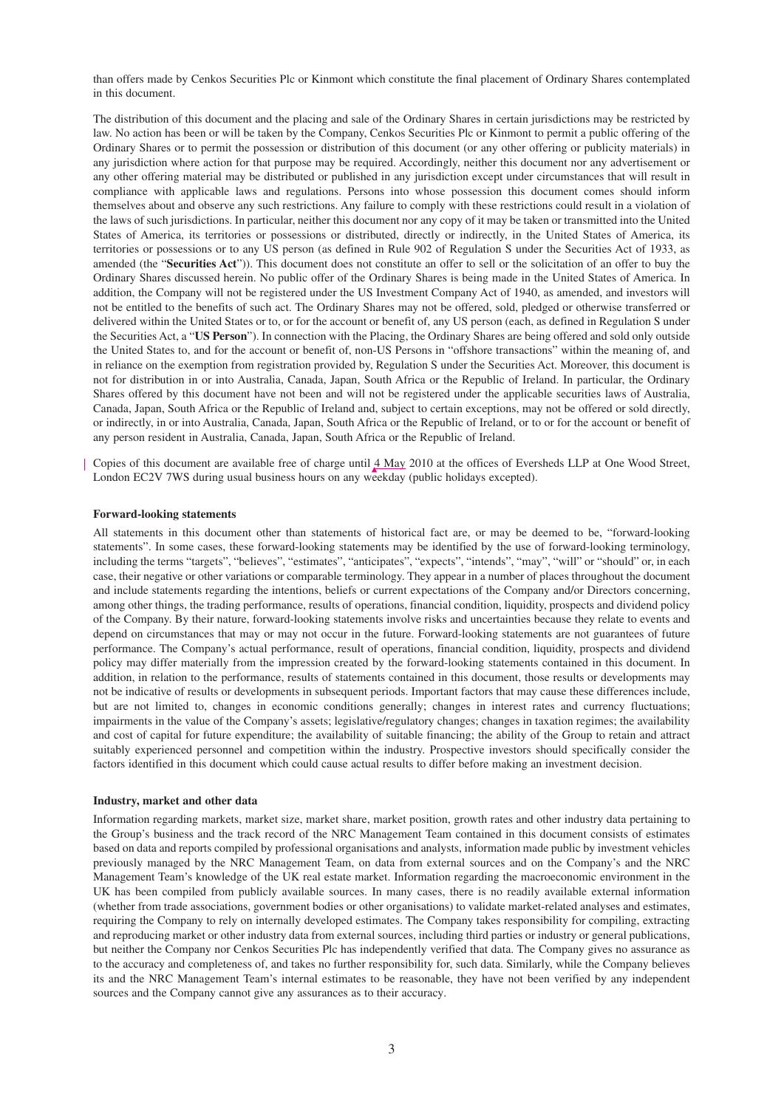than offers made by Cenkos Securities Plc or Kinmont which constitute the final placement of Ordinary Shares contemplated in this document.

The distribution of this document and the placing and sale of the Ordinary Shares in certain jurisdictions may be restricted by law. No action has been or will be taken by the Company, Cenkos Securities Plc or Kinmont to permit a public offering of the Ordinary Shares or to permit the possession or distribution of this document (or any other offering or publicity materials) in any jurisdiction where action for that purpose may be required. Accordingly, neither this document nor any advertisement or any other offering material may be distributed or published in any jurisdiction except under circumstances that will result in compliance with applicable laws and regulations. Persons into whose possession this document comes should inform themselves about and observe any such restrictions. Any failure to comply with these restrictions could result in a violation of the laws of such jurisdictions. In particular, neither this document nor any copy of it may be taken or transmitted into the United States of America, its territories or possessions or distributed, directly or indirectly, in the United States of America, its territories or possessions or to any US person (as defined in Rule 902 of Regulation S under the Securities Act of 1933, as amended (the "**Securities Act**")). This document does not constitute an offer to sell or the solicitation of an offer to buy the Ordinary Shares discussed herein. No public offer of the Ordinary Shares is being made in the United States of America. In addition, the Company will not be registered under the US Investment Company Act of 1940, as amended, and investors will not be entitled to the benefits of such act. The Ordinary Shares may not be offered, sold, pledged or otherwise transferred or delivered within the United States or to, or for the account or benefit of, any US person (each, as defined in Regulation S under the Securities Act, a "**US Person**"). In connection with the Placing, the Ordinary Shares are being offered and sold only outside the United States to, and for the account or benefit of, non-US Persons in "offshore transactions" within the meaning of, and in reliance on the exemption from registration provided by, Regulation S under the Securities Act. Moreover, this document is not for distribution in or into Australia, Canada, Japan, South Africa or the Republic of Ireland. In particular, the Ordinary Shares offered by this document have not been and will not be registered under the applicable securities laws of Australia, Canada, Japan, South Africa or the Republic of Ireland and, subject to certain exceptions, may not be offered or sold directly, or indirectly, in or into Australia, Canada, Japan, South Africa or the Republic of Ireland, or to or for the account or benefit of any person resident in Australia, Canada, Japan, South Africa or the Republic of Ireland.

Copies of this document are available free of charge until 4 May 2010 at the offices of Eversheds LLP at One Wood Street, London EC2V 7WS during usual business hours on any weekday (public holidays excepted).

#### **Forward-looking statements**

All statements in this document other than statements of historical fact are, or may be deemed to be, "forward-looking statements". In some cases, these forward-looking statements may be identified by the use of forward-looking terminology, including the terms "targets", "believes", "estimates", "anticipates", "expects", "intends", "may", "will" or "should" or, in each case, their negative or other variations or comparable terminology. They appear in a number of places throughout the document and include statements regarding the intentions, beliefs or current expectations of the Company and/or Directors concerning, among other things, the trading performance, results of operations, financial condition, liquidity, prospects and dividend policy of the Company. By their nature, forward-looking statements involve risks and uncertainties because they relate to events and depend on circumstances that may or may not occur in the future. Forward-looking statements are not guarantees of future performance. The Company's actual performance, result of operations, financial condition, liquidity, prospects and dividend policy may differ materially from the impression created by the forward-looking statements contained in this document. In addition, in relation to the performance, results of statements contained in this document, those results or developments may not be indicative of results or developments in subsequent periods. Important factors that may cause these differences include, but are not limited to, changes in economic conditions generally; changes in interest rates and currency fluctuations; impairments in the value of the Company's assets; legislative/regulatory changes; changes in taxation regimes; the availability and cost of capital for future expenditure; the availability of suitable financing; the ability of the Group to retain and attract suitably experienced personnel and competition within the industry. Prospective investors should specifically consider the factors identified in this document which could cause actual results to differ before making an investment decision.

#### **Industry, market and other data**

Information regarding markets, market size, market share, market position, growth rates and other industry data pertaining to the Group's business and the track record of the NRC Management Team contained in this document consists of estimates based on data and reports compiled by professional organisations and analysts, information made public by investment vehicles previously managed by the NRC Management Team, on data from external sources and on the Company's and the NRC Management Team's knowledge of the UK real estate market. Information regarding the macroeconomic environment in the UK has been compiled from publicly available sources. In many cases, there is no readily available external information (whether from trade associations, government bodies or other organisations) to validate market-related analyses and estimates, requiring the Company to rely on internally developed estimates. The Company takes responsibility for compiling, extracting and reproducing market or other industry data from external sources, including third parties or industry or general publications, but neither the Company nor Cenkos Securities Plc has independently verified that data. The Company gives no assurance as to the accuracy and completeness of, and takes no further responsibility for, such data. Similarly, while the Company believes its and the NRC Management Team's internal estimates to be reasonable, they have not been verified by any independent sources and the Company cannot give any assurances as to their accuracy.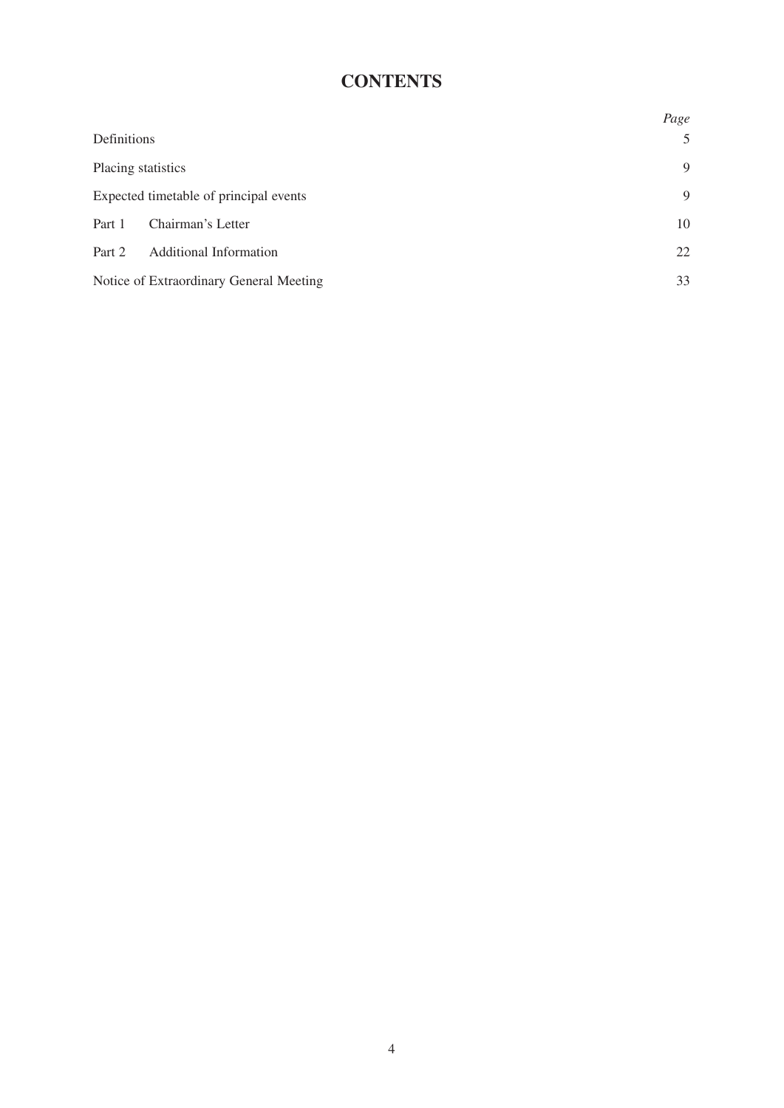# **CONTENTS**

|                                         | Page |  |
|-----------------------------------------|------|--|
| Definitions                             | 5    |  |
| Placing statistics                      |      |  |
| Expected timetable of principal events  | 9    |  |
| Chairman's Letter<br>Part 1             | 10   |  |
| <b>Additional Information</b><br>Part 2 | 22   |  |
| Notice of Extraordinary General Meeting | 33   |  |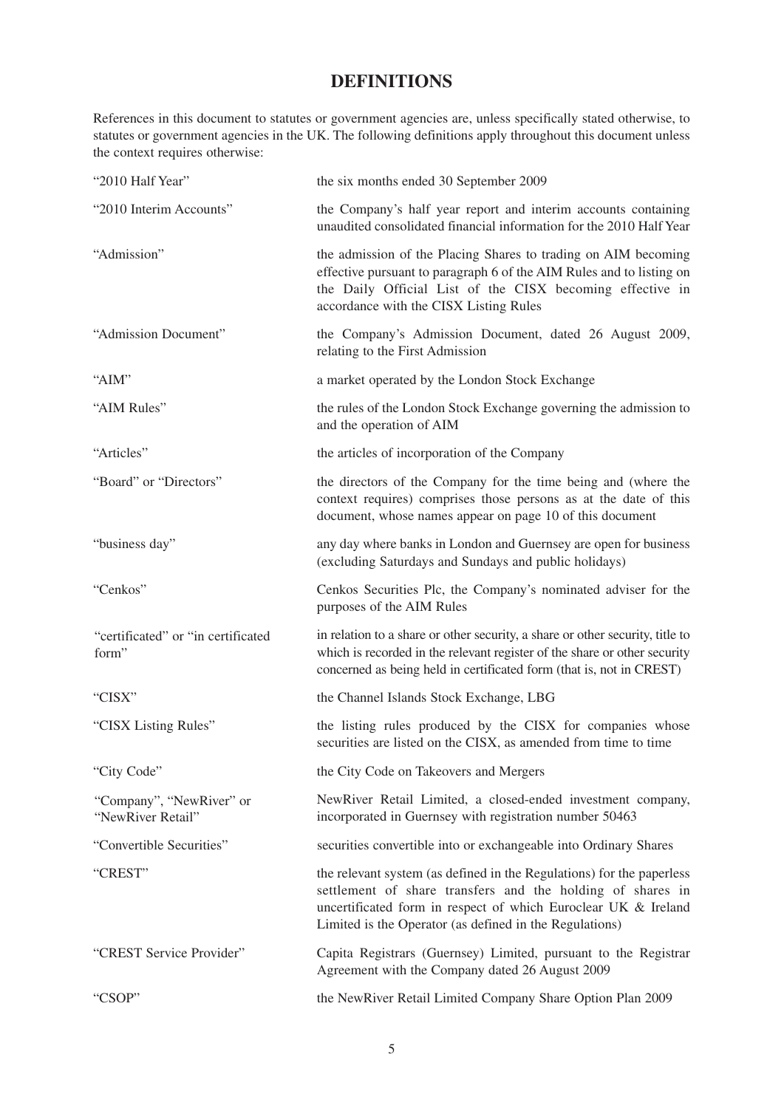# **DEFINITIONS**

References in this document to statutes or government agencies are, unless specifically stated otherwise, to statutes or government agencies in the UK. The following definitions apply throughout this document unless the context requires otherwise:

| "2010 Half Year"                              | the six months ended 30 September 2009                                                                                                                                                                                                                           |
|-----------------------------------------------|------------------------------------------------------------------------------------------------------------------------------------------------------------------------------------------------------------------------------------------------------------------|
| "2010 Interim Accounts"                       | the Company's half year report and interim accounts containing<br>unaudited consolidated financial information for the 2010 Half Year                                                                                                                            |
| "Admission"                                   | the admission of the Placing Shares to trading on AIM becoming<br>effective pursuant to paragraph 6 of the AIM Rules and to listing on<br>the Daily Official List of the CISX becoming effective in<br>accordance with the CISX Listing Rules                    |
| "Admission Document"                          | the Company's Admission Document, dated 26 August 2009,<br>relating to the First Admission                                                                                                                                                                       |
| "AIM"                                         | a market operated by the London Stock Exchange                                                                                                                                                                                                                   |
| "AIM Rules"                                   | the rules of the London Stock Exchange governing the admission to<br>and the operation of AIM                                                                                                                                                                    |
| "Articles"                                    | the articles of incorporation of the Company                                                                                                                                                                                                                     |
| "Board" or "Directors"                        | the directors of the Company for the time being and (where the<br>context requires) comprises those persons as at the date of this<br>document, whose names appear on page 10 of this document                                                                   |
| "business day"                                | any day where banks in London and Guernsey are open for business<br>(excluding Saturdays and Sundays and public holidays)                                                                                                                                        |
| "Cenkos"                                      | Cenkos Securities Plc, the Company's nominated adviser for the<br>purposes of the AIM Rules                                                                                                                                                                      |
| "certificated" or "in certificated<br>form"   | in relation to a share or other security, a share or other security, title to<br>which is recorded in the relevant register of the share or other security<br>concerned as being held in certificated form (that is, not in CREST)                               |
| "CISX"                                        | the Channel Islands Stock Exchange, LBG                                                                                                                                                                                                                          |
| "CISX Listing Rules"                          | the listing rules produced by the CISX for companies whose<br>securities are listed on the CISX, as amended from time to time                                                                                                                                    |
| "City Code"                                   | the City Code on Takeovers and Mergers                                                                                                                                                                                                                           |
| "Company", "NewRiver" or<br>"NewRiver Retail" | NewRiver Retail Limited, a closed-ended investment company,<br>incorporated in Guernsey with registration number 50463                                                                                                                                           |
| "Convertible Securities"                      | securities convertible into or exchangeable into Ordinary Shares                                                                                                                                                                                                 |
| "CREST"                                       | the relevant system (as defined in the Regulations) for the paperless<br>settlement of share transfers and the holding of shares in<br>uncertificated form in respect of which Euroclear UK & Ireland<br>Limited is the Operator (as defined in the Regulations) |
| "CREST Service Provider"                      | Capita Registrars (Guernsey) Limited, pursuant to the Registrar<br>Agreement with the Company dated 26 August 2009                                                                                                                                               |
| "CSOP"                                        | the NewRiver Retail Limited Company Share Option Plan 2009                                                                                                                                                                                                       |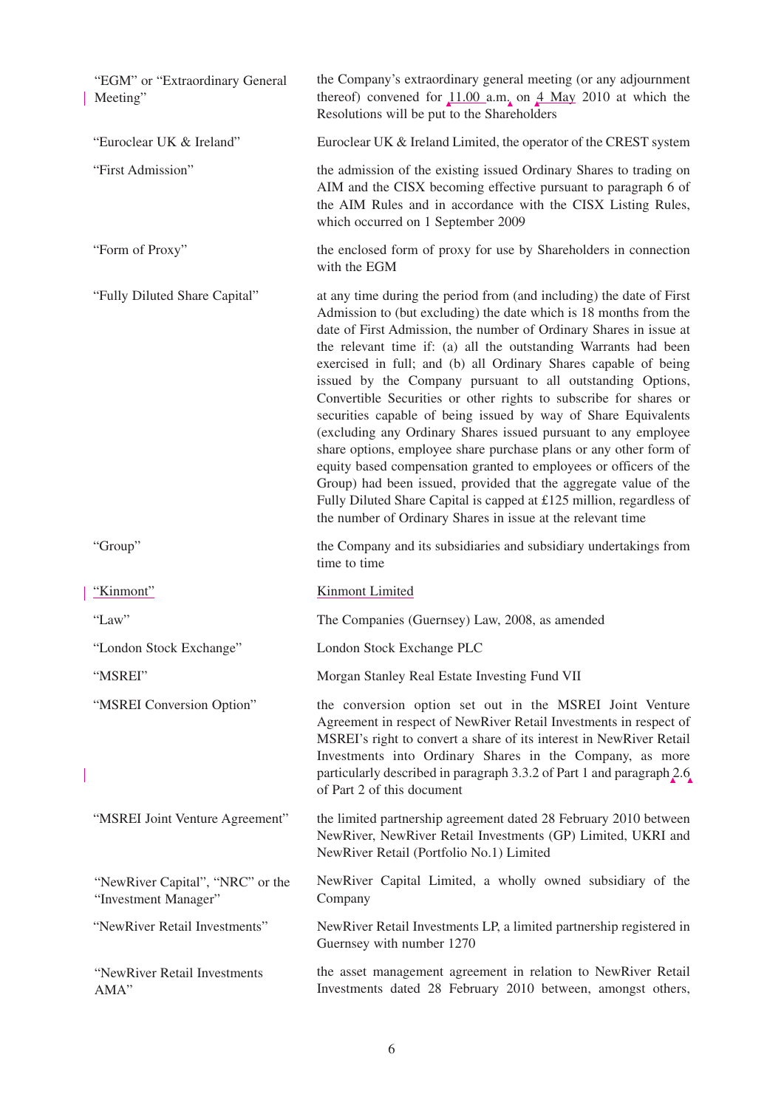| "EGM" or "Extraordinary General<br>Meeting"              | the Company's extraordinary general meeting (or any adjournment<br>thereof) convened for $11.00$ a.m. on $4$ May 2010 at which the<br>Resolutions will be put to the Shareholders                                                                                                                                                                                                                                                                                                                                                                                                                                                                                                                                                                                                                                                                                                                                                                                                 |
|----------------------------------------------------------|-----------------------------------------------------------------------------------------------------------------------------------------------------------------------------------------------------------------------------------------------------------------------------------------------------------------------------------------------------------------------------------------------------------------------------------------------------------------------------------------------------------------------------------------------------------------------------------------------------------------------------------------------------------------------------------------------------------------------------------------------------------------------------------------------------------------------------------------------------------------------------------------------------------------------------------------------------------------------------------|
| "Euroclear UK & Ireland"                                 | Euroclear UK & Ireland Limited, the operator of the CREST system                                                                                                                                                                                                                                                                                                                                                                                                                                                                                                                                                                                                                                                                                                                                                                                                                                                                                                                  |
| "First Admission"                                        | the admission of the existing issued Ordinary Shares to trading on<br>AIM and the CISX becoming effective pursuant to paragraph 6 of<br>the AIM Rules and in accordance with the CISX Listing Rules,<br>which occurred on 1 September 2009                                                                                                                                                                                                                                                                                                                                                                                                                                                                                                                                                                                                                                                                                                                                        |
| "Form of Proxy"                                          | the enclosed form of proxy for use by Shareholders in connection<br>with the EGM                                                                                                                                                                                                                                                                                                                                                                                                                                                                                                                                                                                                                                                                                                                                                                                                                                                                                                  |
| "Fully Diluted Share Capital"                            | at any time during the period from (and including) the date of First<br>Admission to (but excluding) the date which is 18 months from the<br>date of First Admission, the number of Ordinary Shares in issue at<br>the relevant time if: (a) all the outstanding Warrants had been<br>exercised in full; and (b) all Ordinary Shares capable of being<br>issued by the Company pursuant to all outstanding Options,<br>Convertible Securities or other rights to subscribe for shares or<br>securities capable of being issued by way of Share Equivalents<br>(excluding any Ordinary Shares issued pursuant to any employee<br>share options, employee share purchase plans or any other form of<br>equity based compensation granted to employees or officers of the<br>Group) had been issued, provided that the aggregate value of the<br>Fully Diluted Share Capital is capped at £125 million, regardless of<br>the number of Ordinary Shares in issue at the relevant time |
| "Group"                                                  | the Company and its subsidiaries and subsidiary undertakings from<br>time to time                                                                                                                                                                                                                                                                                                                                                                                                                                                                                                                                                                                                                                                                                                                                                                                                                                                                                                 |
| "Kinmont"                                                | <b>Kinmont Limited</b>                                                                                                                                                                                                                                                                                                                                                                                                                                                                                                                                                                                                                                                                                                                                                                                                                                                                                                                                                            |
| "Law"                                                    | The Companies (Guernsey) Law, 2008, as amended                                                                                                                                                                                                                                                                                                                                                                                                                                                                                                                                                                                                                                                                                                                                                                                                                                                                                                                                    |
| "London Stock Exchange"                                  | London Stock Exchange PLC                                                                                                                                                                                                                                                                                                                                                                                                                                                                                                                                                                                                                                                                                                                                                                                                                                                                                                                                                         |
| "MSREI"                                                  | Morgan Stanley Real Estate Investing Fund VII                                                                                                                                                                                                                                                                                                                                                                                                                                                                                                                                                                                                                                                                                                                                                                                                                                                                                                                                     |
| "MSREI Conversion Option"                                | the conversion option set out in the MSREI Joint Venture<br>Agreement in respect of NewRiver Retail Investments in respect of<br>MSREI's right to convert a share of its interest in NewRiver Retail<br>Investments into Ordinary Shares in the Company, as more<br>particularly described in paragraph 3.3.2 of Part 1 and paragraph 2.6<br>of Part 2 of this document                                                                                                                                                                                                                                                                                                                                                                                                                                                                                                                                                                                                           |
| "MSREI Joint Venture Agreement"                          | the limited partnership agreement dated 28 February 2010 between<br>NewRiver, NewRiver Retail Investments (GP) Limited, UKRI and<br>NewRiver Retail (Portfolio No.1) Limited                                                                                                                                                                                                                                                                                                                                                                                                                                                                                                                                                                                                                                                                                                                                                                                                      |
| "NewRiver Capital", "NRC" or the<br>"Investment Manager" | NewRiver Capital Limited, a wholly owned subsidiary of the<br>Company                                                                                                                                                                                                                                                                                                                                                                                                                                                                                                                                                                                                                                                                                                                                                                                                                                                                                                             |
| "NewRiver Retail Investments"                            | NewRiver Retail Investments LP, a limited partnership registered in<br>Guernsey with number 1270                                                                                                                                                                                                                                                                                                                                                                                                                                                                                                                                                                                                                                                                                                                                                                                                                                                                                  |
| "NewRiver Retail Investments<br>AMA"                     | the asset management agreement in relation to NewRiver Retail<br>Investments dated 28 February 2010 between, amongst others,                                                                                                                                                                                                                                                                                                                                                                                                                                                                                                                                                                                                                                                                                                                                                                                                                                                      |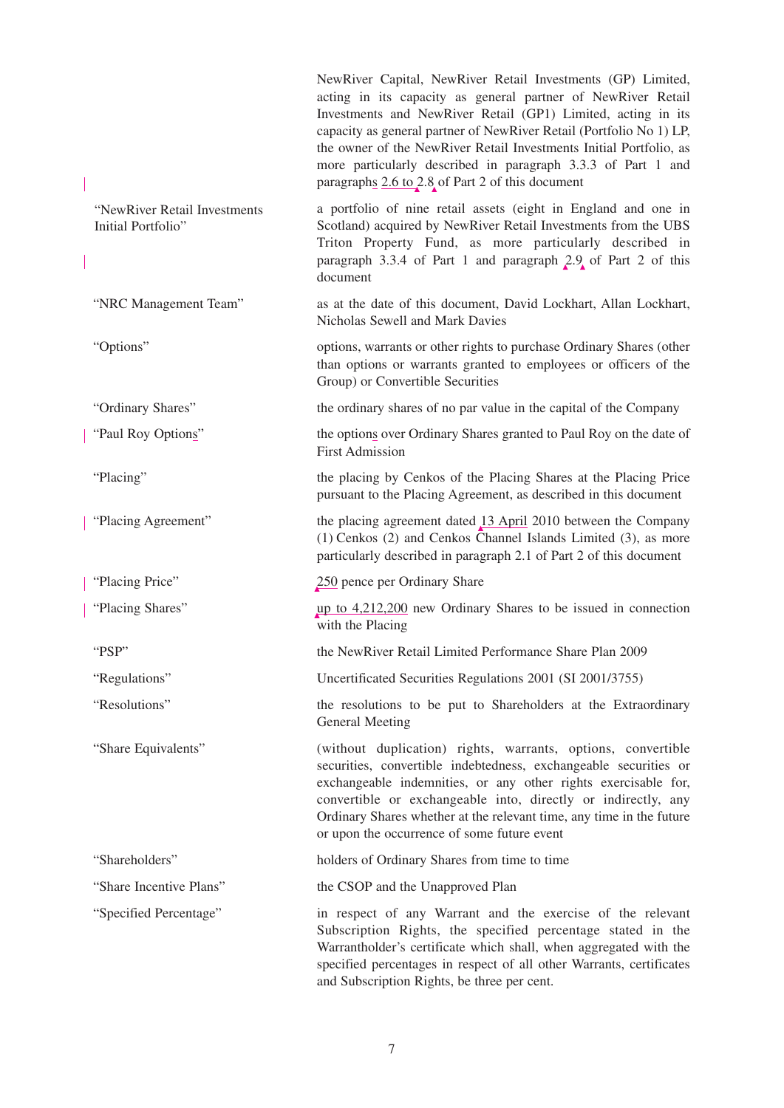|                                                    | NewRiver Capital, NewRiver Retail Investments (GP) Limited,<br>acting in its capacity as general partner of NewRiver Retail<br>Investments and NewRiver Retail (GP1) Limited, acting in its<br>capacity as general partner of NewRiver Retail (Portfolio No 1) LP,<br>the owner of the NewRiver Retail Investments Initial Portfolio, as<br>more particularly described in paragraph 3.3.3 of Part 1 and<br>paragraphs 2.6 to 2.8 of Part 2 of this document |
|----------------------------------------------------|--------------------------------------------------------------------------------------------------------------------------------------------------------------------------------------------------------------------------------------------------------------------------------------------------------------------------------------------------------------------------------------------------------------------------------------------------------------|
| "NewRiver Retail Investments<br>Initial Portfolio" | a portfolio of nine retail assets (eight in England and one in<br>Scotland) acquired by NewRiver Retail Investments from the UBS<br>Triton Property Fund, as more particularly described in<br>paragraph 3.3.4 of Part 1 and paragraph 2.9 of Part 2 of this<br>document                                                                                                                                                                                     |
| "NRC Management Team"                              | as at the date of this document, David Lockhart, Allan Lockhart,<br>Nicholas Sewell and Mark Davies                                                                                                                                                                                                                                                                                                                                                          |
| "Options"                                          | options, warrants or other rights to purchase Ordinary Shares (other<br>than options or warrants granted to employees or officers of the<br>Group) or Convertible Securities                                                                                                                                                                                                                                                                                 |
| "Ordinary Shares"                                  | the ordinary shares of no par value in the capital of the Company                                                                                                                                                                                                                                                                                                                                                                                            |
| "Paul Roy Options"                                 | the options over Ordinary Shares granted to Paul Roy on the date of<br><b>First Admission</b>                                                                                                                                                                                                                                                                                                                                                                |
| "Placing"                                          | the placing by Cenkos of the Placing Shares at the Placing Price<br>pursuant to the Placing Agreement, as described in this document                                                                                                                                                                                                                                                                                                                         |
| "Placing Agreement"                                | the placing agreement dated $13$ April 2010 between the Company<br>(1) Cenkos (2) and Cenkos Channel Islands Limited (3), as more<br>particularly described in paragraph 2.1 of Part 2 of this document                                                                                                                                                                                                                                                      |
| "Placing Price"                                    | 250 pence per Ordinary Share                                                                                                                                                                                                                                                                                                                                                                                                                                 |
| "Placing Shares"                                   | up to $4,212,200$ new Ordinary Shares to be issued in connection<br>with the Placing                                                                                                                                                                                                                                                                                                                                                                         |
| "PSP"                                              | the NewRiver Retail Limited Performance Share Plan 2009                                                                                                                                                                                                                                                                                                                                                                                                      |
| "Regulations"                                      | Uncertificated Securities Regulations 2001 (SI 2001/3755)                                                                                                                                                                                                                                                                                                                                                                                                    |
| "Resolutions"                                      | the resolutions to be put to Shareholders at the Extraordinary<br><b>General Meeting</b>                                                                                                                                                                                                                                                                                                                                                                     |
| "Share Equivalents"                                | (without duplication) rights, warrants, options, convertible<br>securities, convertible indebtedness, exchangeable securities or<br>exchangeable indemnities, or any other rights exercisable for,<br>convertible or exchangeable into, directly or indirectly, any<br>Ordinary Shares whether at the relevant time, any time in the future<br>or upon the occurrence of some future event                                                                   |
| "Shareholders"                                     | holders of Ordinary Shares from time to time                                                                                                                                                                                                                                                                                                                                                                                                                 |
| "Share Incentive Plans"                            | the CSOP and the Unapproved Plan                                                                                                                                                                                                                                                                                                                                                                                                                             |
| "Specified Percentage"                             | in respect of any Warrant and the exercise of the relevant<br>Subscription Rights, the specified percentage stated in the<br>Warrantholder's certificate which shall, when aggregated with the<br>specified percentages in respect of all other Warrants, certificates                                                                                                                                                                                       |

and Subscription Rights, be three per cent.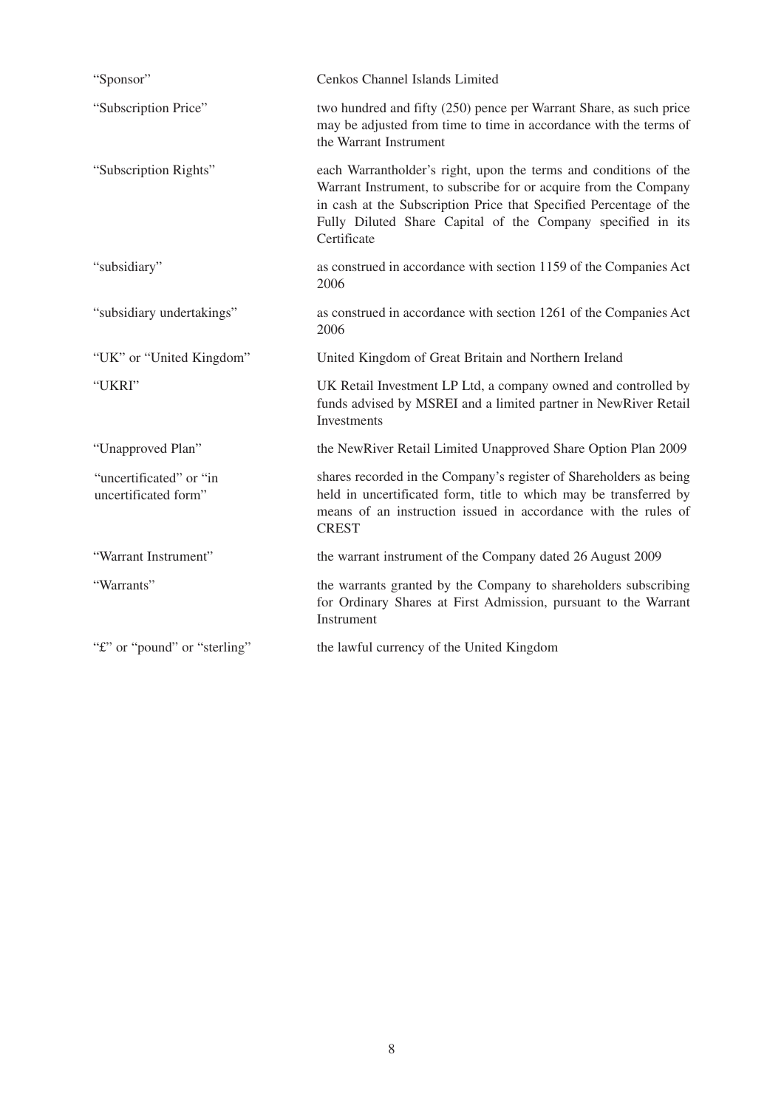| "Sponsor"                                       | Cenkos Channel Islands Limited                                                                                                                                                                                                                                                           |
|-------------------------------------------------|------------------------------------------------------------------------------------------------------------------------------------------------------------------------------------------------------------------------------------------------------------------------------------------|
| "Subscription Price"                            | two hundred and fifty (250) pence per Warrant Share, as such price<br>may be adjusted from time to time in accordance with the terms of<br>the Warrant Instrument                                                                                                                        |
| "Subscription Rights"                           | each Warrantholder's right, upon the terms and conditions of the<br>Warrant Instrument, to subscribe for or acquire from the Company<br>in cash at the Subscription Price that Specified Percentage of the<br>Fully Diluted Share Capital of the Company specified in its<br>Certificate |
| "subsidiary"                                    | as construed in accordance with section 1159 of the Companies Act<br>2006                                                                                                                                                                                                                |
| "subsidiary undertakings"                       | as construed in accordance with section 1261 of the Companies Act<br>2006                                                                                                                                                                                                                |
| "UK" or "United Kingdom"                        | United Kingdom of Great Britain and Northern Ireland                                                                                                                                                                                                                                     |
| "UKRI"                                          | UK Retail Investment LP Ltd, a company owned and controlled by<br>funds advised by MSREI and a limited partner in NewRiver Retail<br>Investments                                                                                                                                         |
| "Unapproved Plan"                               | the NewRiver Retail Limited Unapproved Share Option Plan 2009                                                                                                                                                                                                                            |
| "uncertificated" or "in<br>uncertificated form" | shares recorded in the Company's register of Shareholders as being<br>held in uncertificated form, title to which may be transferred by<br>means of an instruction issued in accordance with the rules of<br><b>CREST</b>                                                                |
| "Warrant Instrument"                            | the warrant instrument of the Company dated 26 August 2009                                                                                                                                                                                                                               |
| "Warrants"                                      | the warrants granted by the Company to shareholders subscribing<br>for Ordinary Shares at First Admission, pursuant to the Warrant<br>Instrument                                                                                                                                         |
| "£" or "pound" or "sterling"                    | the lawful currency of the United Kingdom                                                                                                                                                                                                                                                |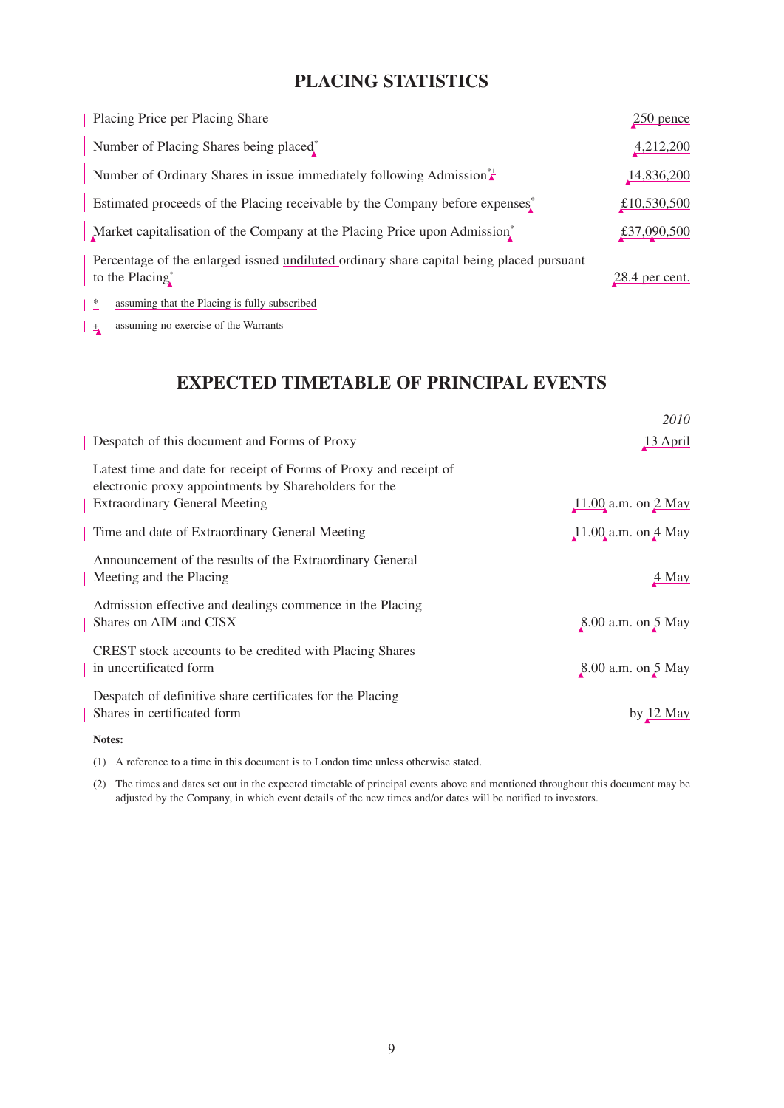# **PLACING STATISTICS**

| Placing Price per Placing Share                                                                             | $250$ pence      |
|-------------------------------------------------------------------------------------------------------------|------------------|
| Number of Placing Shares being placed*                                                                      | 4,212,200        |
| Number of Ordinary Shares in issue immediately following Admission <sup>**</sup>                            | 14,836,200       |
| Estimated proceeds of the Placing receivable by the Company before expenses. <sup>*</sup>                   | £10,530,500      |
| Market capitalisation of the Company at the Placing Price upon Admission <sup>*</sup>                       | £37,090,500      |
| Percentage of the enlarged issued undiluted ordinary share capital being placed pursuant<br>to the Placing* | $28.4$ per cent. |

<sup>\*</sup> assuming that the Placing is fully subscribed

 $\frac{1}{4}$  assuming no exercise of the Warrants

# **EXPECTED TIMETABLE OF PRINCIPAL EVENTS**

|                                                                                                                                                                    | 2010                    |
|--------------------------------------------------------------------------------------------------------------------------------------------------------------------|-------------------------|
| Despatch of this document and Forms of Proxy                                                                                                                       | 13 April                |
| Latest time and date for receipt of Forms of Proxy and receipt of<br>electronic proxy appointments by Shareholders for the<br><b>Extraordinary General Meeting</b> | $11.00$ a.m. on $2$ May |
| Time and date of Extraordinary General Meeting                                                                                                                     | $11.00$ a.m. on $4$ May |
| Announcement of the results of the Extraordinary General<br>Meeting and the Placing                                                                                | 4 May                   |
| Admission effective and dealings commence in the Placing<br>Shares on AIM and CISX                                                                                 | 8.00 a.m. on 5 May      |
| CREST stock accounts to be credited with Placing Shares<br>in uncertificated form                                                                                  | 8.00 a.m. on 5 May      |
| Despatch of definitive share certificates for the Placing<br>Shares in certificated form                                                                           | by 12 May               |
| Notes:                                                                                                                                                             |                         |

(1) A reference to a time in this document is to London time unless otherwise stated.

(2) The times and dates set out in the expected timetable of principal events above and mentioned throughout this document may be adjusted by the Company, in which event details of the new times and/or dates will be notified to investors.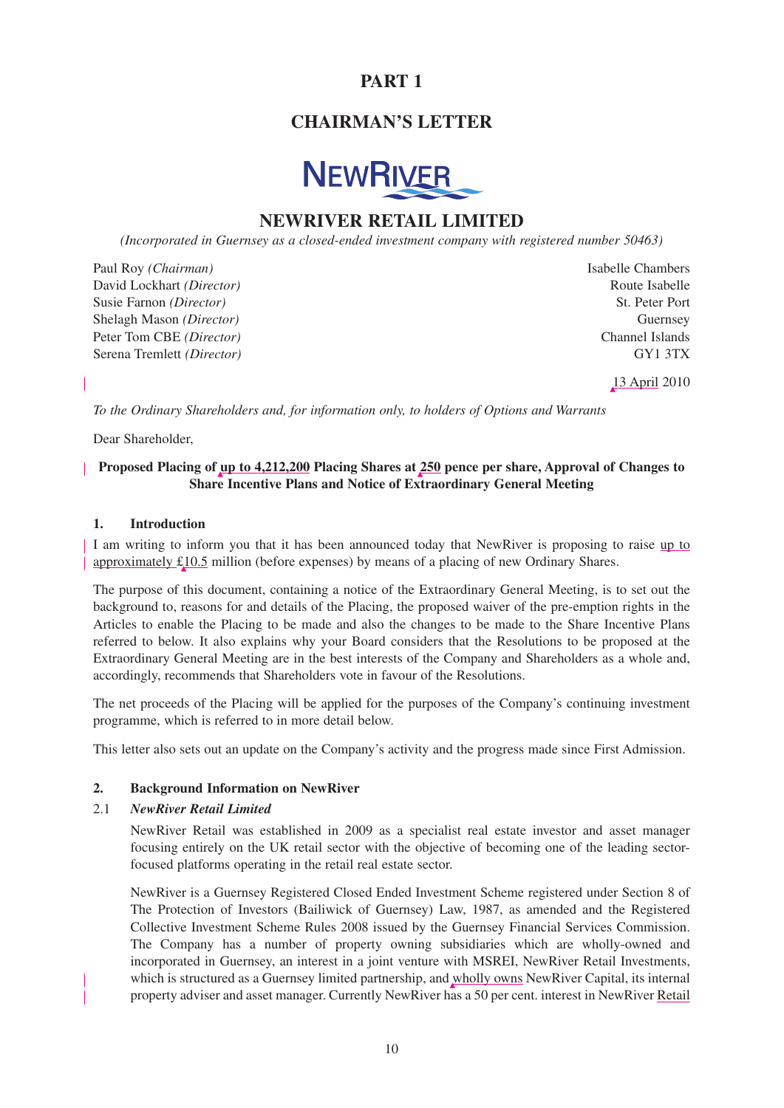# **PART 1**

# **CHAIRMAN'S LETTER**



# **NEWRIVER RETAIL LIMITED**

*(Incorporated in Guernsey as a closed-ended investment company with registered number 50463)*

Paul Roy *(Chairman)* Isabelle Chambers David Lockhart *(Director)* Route Isabelle Susie Farnon *(Director)* St. Peter Port Shelagh Mason *(Director)* Guernsey Peter Tom CBE *(Director)* Channel Islands Serena Tremlett *(Director)* GY1 3TX

13 April 2010

*To the Ordinary Shareholders and, for information only, to holders of Options and Warrants*

Dear Shareholder,

# **Proposed Placing of up to 4,212,200 Placing Shares at 250 pence per share, Approval of Changes to Share Incentive Plans and Notice of Extraordinary General Meeting**

## **1. Introduction**

I am writing to inform you that it has been announced today that NewRiver is proposing to raise up to approximately £10.5 million (before expenses) by means of a placing of new Ordinary Shares.

The purpose of this document, containing a notice of the Extraordinary General Meeting, is to set out the background to, reasons for and details of the Placing, the proposed waiver of the pre-emption rights in the Articles to enable the Placing to be made and also the changes to be made to the Share Incentive Plans referred to below. It also explains why your Board considers that the Resolutions to be proposed at the Extraordinary General Meeting are in the best interests of the Company and Shareholders as a whole and, accordingly, recommends that Shareholders vote in favour of the Resolutions.

The net proceeds of the Placing will be applied for the purposes of the Company's continuing investment programme, which is referred to in more detail below.

This letter also sets out an update on the Company's activity and the progress made since First Admission.

# **2. Background Information on NewRiver**

### 2.1 *NewRiver Retail Limited*

NewRiver Retail was established in 2009 as a specialist real estate investor and asset manager focusing entirely on the UK retail sector with the objective of becoming one of the leading sectorfocused platforms operating in the retail real estate sector.

NewRiver is a Guernsey Registered Closed Ended Investment Scheme registered under Section 8 of The Protection of Investors (Bailiwick of Guernsey) Law, 1987, as amended and the Registered Collective Investment Scheme Rules 2008 issued by the Guernsey Financial Services Commission. The Company has a number of property owning subsidiaries which are wholly-owned and incorporated in Guernsey, an interest in a joint venture with MSREI, NewRiver Retail Investments, which is structured as a Guernsey limited partnership, and wholly owns NewRiver Capital, its internal property adviser and asset manager. Currently NewRiver has a 50 per cent. interest in NewRiver Retail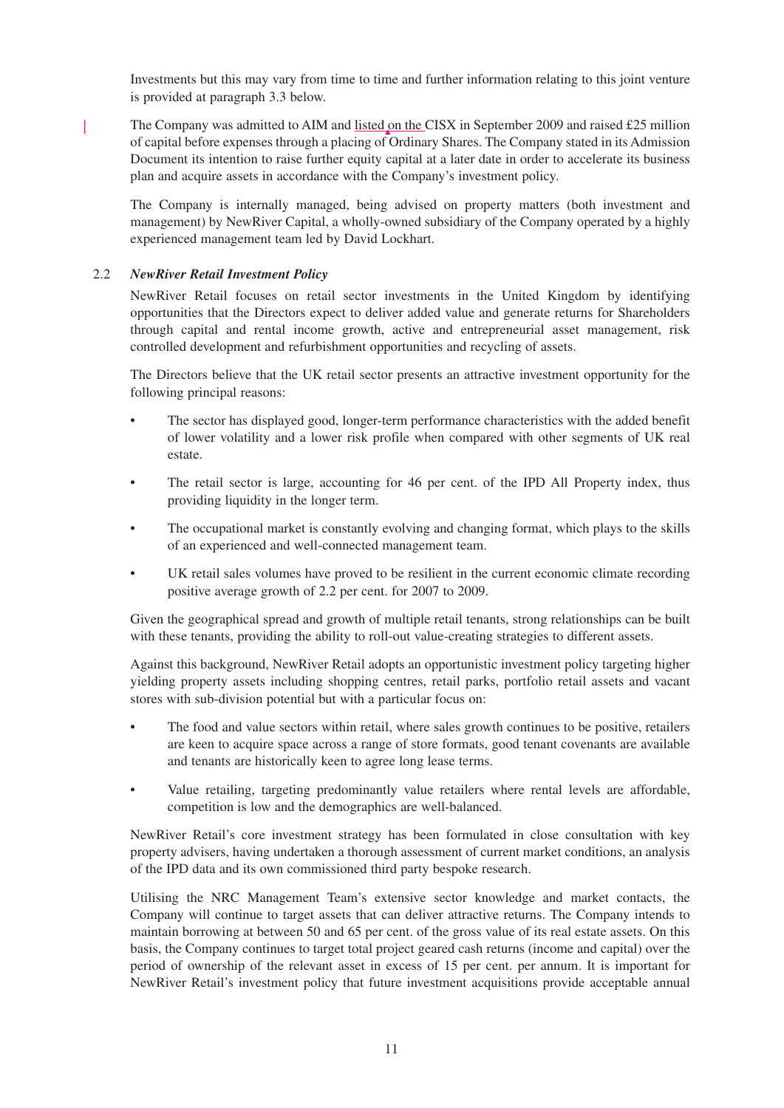Investments but this may vary from time to time and further information relating to this joint venture is provided at paragraph 3.3 below.

The Company was admitted to AIM and listed on the CISX in September 2009 and raised £25 million of capital before expenses through a placing of Ordinary Shares. The Company stated in its Admission Document its intention to raise further equity capital at a later date in order to accelerate its business plan and acquire assets in accordance with the Company's investment policy.

The Company is internally managed, being advised on property matters (both investment and management) by NewRiver Capital, a wholly-owned subsidiary of the Company operated by a highly experienced management team led by David Lockhart.

# 2.2 *NewRiver Retail Investment Policy*

NewRiver Retail focuses on retail sector investments in the United Kingdom by identifying opportunities that the Directors expect to deliver added value and generate returns for Shareholders through capital and rental income growth, active and entrepreneurial asset management, risk controlled development and refurbishment opportunities and recycling of assets.

The Directors believe that the UK retail sector presents an attractive investment opportunity for the following principal reasons:

- The sector has displayed good, longer-term performance characteristics with the added benefit of lower volatility and a lower risk profile when compared with other segments of UK real estate.
- The retail sector is large, accounting for 46 per cent. of the IPD All Property index, thus providing liquidity in the longer term.
- The occupational market is constantly evolving and changing format, which plays to the skills of an experienced and well-connected management team.
- UK retail sales volumes have proved to be resilient in the current economic climate recording positive average growth of 2.2 per cent. for 2007 to 2009.

Given the geographical spread and growth of multiple retail tenants, strong relationships can be built with these tenants, providing the ability to roll-out value-creating strategies to different assets.

Against this background, NewRiver Retail adopts an opportunistic investment policy targeting higher yielding property assets including shopping centres, retail parks, portfolio retail assets and vacant stores with sub-division potential but with a particular focus on:

- The food and value sectors within retail, where sales growth continues to be positive, retailers are keen to acquire space across a range of store formats, good tenant covenants are available and tenants are historically keen to agree long lease terms.
- Value retailing, targeting predominantly value retailers where rental levels are affordable, competition is low and the demographics are well-balanced.

NewRiver Retail's core investment strategy has been formulated in close consultation with key property advisers, having undertaken a thorough assessment of current market conditions, an analysis of the IPD data and its own commissioned third party bespoke research.

Utilising the NRC Management Team's extensive sector knowledge and market contacts, the Company will continue to target assets that can deliver attractive returns. The Company intends to maintain borrowing at between 50 and 65 per cent. of the gross value of its real estate assets. On this basis, the Company continues to target total project geared cash returns (income and capital) over the period of ownership of the relevant asset in excess of 15 per cent. per annum. It is important for NewRiver Retail's investment policy that future investment acquisitions provide acceptable annual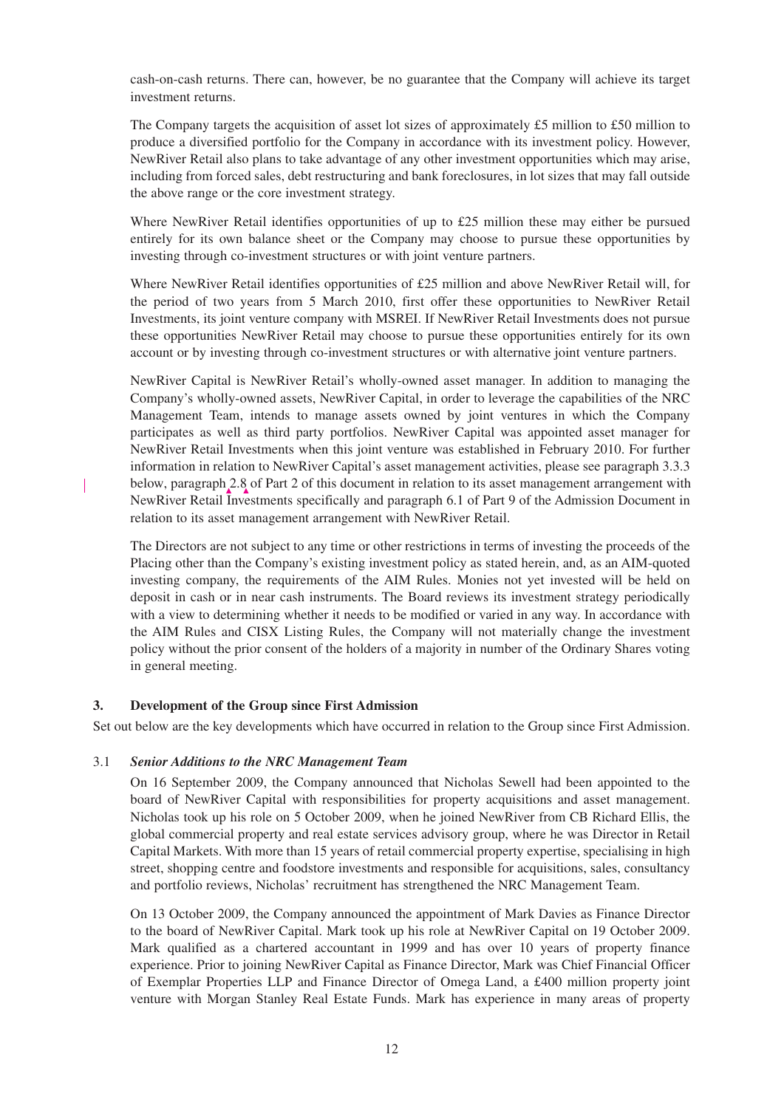cash-on-cash returns. There can, however, be no guarantee that the Company will achieve its target investment returns.

The Company targets the acquisition of asset lot sizes of approximately £5 million to £50 million to produce a diversified portfolio for the Company in accordance with its investment policy. However, NewRiver Retail also plans to take advantage of any other investment opportunities which may arise, including from forced sales, debt restructuring and bank foreclosures, in lot sizes that may fall outside the above range or the core investment strategy.

Where NewRiver Retail identifies opportunities of up to £25 million these may either be pursued entirely for its own balance sheet or the Company may choose to pursue these opportunities by investing through co-investment structures or with joint venture partners.

Where NewRiver Retail identifies opportunities of £25 million and above NewRiver Retail will, for the period of two years from 5 March 2010, first offer these opportunities to NewRiver Retail Investments, its joint venture company with MSREI. If NewRiver Retail Investments does not pursue these opportunities NewRiver Retail may choose to pursue these opportunities entirely for its own account or by investing through co-investment structures or with alternative joint venture partners.

NewRiver Capital is NewRiver Retail's wholly-owned asset manager. In addition to managing the Company's wholly-owned assets, NewRiver Capital, in order to leverage the capabilities of the NRC Management Team, intends to manage assets owned by joint ventures in which the Company participates as well as third party portfolios. NewRiver Capital was appointed asset manager for NewRiver Retail Investments when this joint venture was established in February 2010. For further information in relation to NewRiver Capital's asset management activities, please see paragraph 3.3.3 below, paragraph 2.8 of Part 2 of this document in relation to its asset management arrangement with NewRiver Retail Investments specifically and paragraph 6.1 of Part 9 of the Admission Document in relation to its asset management arrangement with NewRiver Retail.

The Directors are not subject to any time or other restrictions in terms of investing the proceeds of the Placing other than the Company's existing investment policy as stated herein, and, as an AIM-quoted investing company, the requirements of the AIM Rules. Monies not yet invested will be held on deposit in cash or in near cash instruments. The Board reviews its investment strategy periodically with a view to determining whether it needs to be modified or varied in any way. In accordance with the AIM Rules and CISX Listing Rules, the Company will not materially change the investment policy without the prior consent of the holders of a majority in number of the Ordinary Shares voting in general meeting.

# **3. Development of the Group since First Admission**

Set out below are the key developments which have occurred in relation to the Group since First Admission.

### 3.1 *Senior Additions to the NRC Management Team*

On 16 September 2009, the Company announced that Nicholas Sewell had been appointed to the board of NewRiver Capital with responsibilities for property acquisitions and asset management. Nicholas took up his role on 5 October 2009, when he joined NewRiver from CB Richard Ellis, the global commercial property and real estate services advisory group, where he was Director in Retail Capital Markets. With more than 15 years of retail commercial property expertise, specialising in high street, shopping centre and foodstore investments and responsible for acquisitions, sales, consultancy and portfolio reviews, Nicholas' recruitment has strengthened the NRC Management Team.

On 13 October 2009, the Company announced the appointment of Mark Davies as Finance Director to the board of NewRiver Capital. Mark took up his role at NewRiver Capital on 19 October 2009. Mark qualified as a chartered accountant in 1999 and has over 10 years of property finance experience. Prior to joining NewRiver Capital as Finance Director, Mark was Chief Financial Officer of Exemplar Properties LLP and Finance Director of Omega Land, a £400 million property joint venture with Morgan Stanley Real Estate Funds. Mark has experience in many areas of property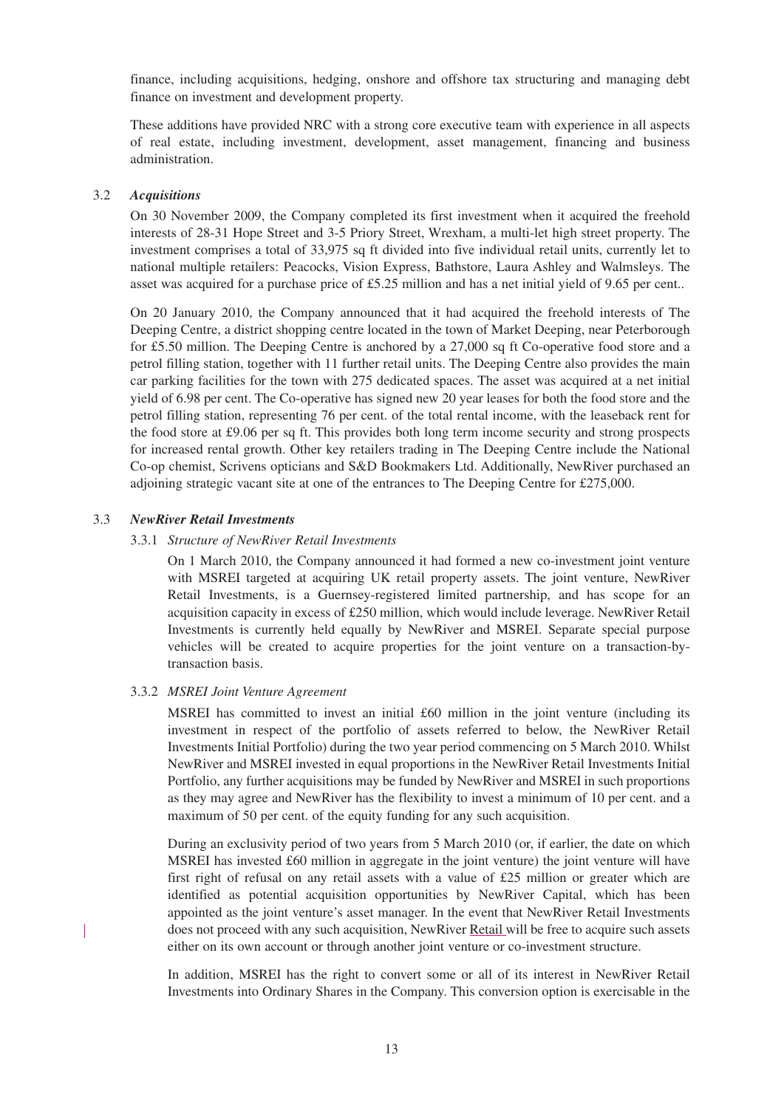finance, including acquisitions, hedging, onshore and offshore tax structuring and managing debt finance on investment and development property.

These additions have provided NRC with a strong core executive team with experience in all aspects of real estate, including investment, development, asset management, financing and business administration.

### 3.2 *Acquisitions*

On 30 November 2009, the Company completed its first investment when it acquired the freehold interests of 28-31 Hope Street and 3-5 Priory Street, Wrexham, a multi-let high street property. The investment comprises a total of 33,975 sq ft divided into five individual retail units, currently let to national multiple retailers: Peacocks, Vision Express, Bathstore, Laura Ashley and Walmsleys. The asset was acquired for a purchase price of £5.25 million and has a net initial yield of 9.65 per cent..

On 20 January 2010, the Company announced that it had acquired the freehold interests of The Deeping Centre, a district shopping centre located in the town of Market Deeping, near Peterborough for £5.50 million. The Deeping Centre is anchored by a 27,000 sq ft Co-operative food store and a petrol filling station, together with 11 further retail units. The Deeping Centre also provides the main car parking facilities for the town with 275 dedicated spaces. The asset was acquired at a net initial yield of 6.98 per cent. The Co-operative has signed new 20 year leases for both the food store and the petrol filling station, representing 76 per cent. of the total rental income, with the leaseback rent for the food store at £9.06 per sq ft. This provides both long term income security and strong prospects for increased rental growth. Other key retailers trading in The Deeping Centre include the National Co-op chemist, Scrivens opticians and S&D Bookmakers Ltd. Additionally, NewRiver purchased an adjoining strategic vacant site at one of the entrances to The Deeping Centre for £275,000.

## 3.3 *NewRiver Retail Investments*

## 3.3.1 *Structure of NewRiver Retail Investments*

On 1 March 2010, the Company announced it had formed a new co-investment joint venture with MSREI targeted at acquiring UK retail property assets. The joint venture, NewRiver Retail Investments, is a Guernsey-registered limited partnership, and has scope for an acquisition capacity in excess of £250 million, which would include leverage. NewRiver Retail Investments is currently held equally by NewRiver and MSREI. Separate special purpose vehicles will be created to acquire properties for the joint venture on a transaction-bytransaction basis.

# 3.3.2 *MSREI Joint Venture Agreement*

MSREI has committed to invest an initial £60 million in the joint venture (including its investment in respect of the portfolio of assets referred to below, the NewRiver Retail Investments Initial Portfolio) during the two year period commencing on 5 March 2010. Whilst NewRiver and MSREI invested in equal proportions in the NewRiver Retail Investments Initial Portfolio, any further acquisitions may be funded by NewRiver and MSREI in such proportions as they may agree and NewRiver has the flexibility to invest a minimum of 10 per cent. and a maximum of 50 per cent. of the equity funding for any such acquisition.

During an exclusivity period of two years from 5 March 2010 (or, if earlier, the date on which MSREI has invested £60 million in aggregate in the joint venture) the joint venture will have first right of refusal on any retail assets with a value of £25 million or greater which are identified as potential acquisition opportunities by NewRiver Capital, which has been appointed as the joint venture's asset manager. In the event that NewRiver Retail Investments does not proceed with any such acquisition, NewRiver Retail will be free to acquire such assets either on its own account or through another joint venture or co-investment structure.

In addition, MSREI has the right to convert some or all of its interest in NewRiver Retail Investments into Ordinary Shares in the Company. This conversion option is exercisable in the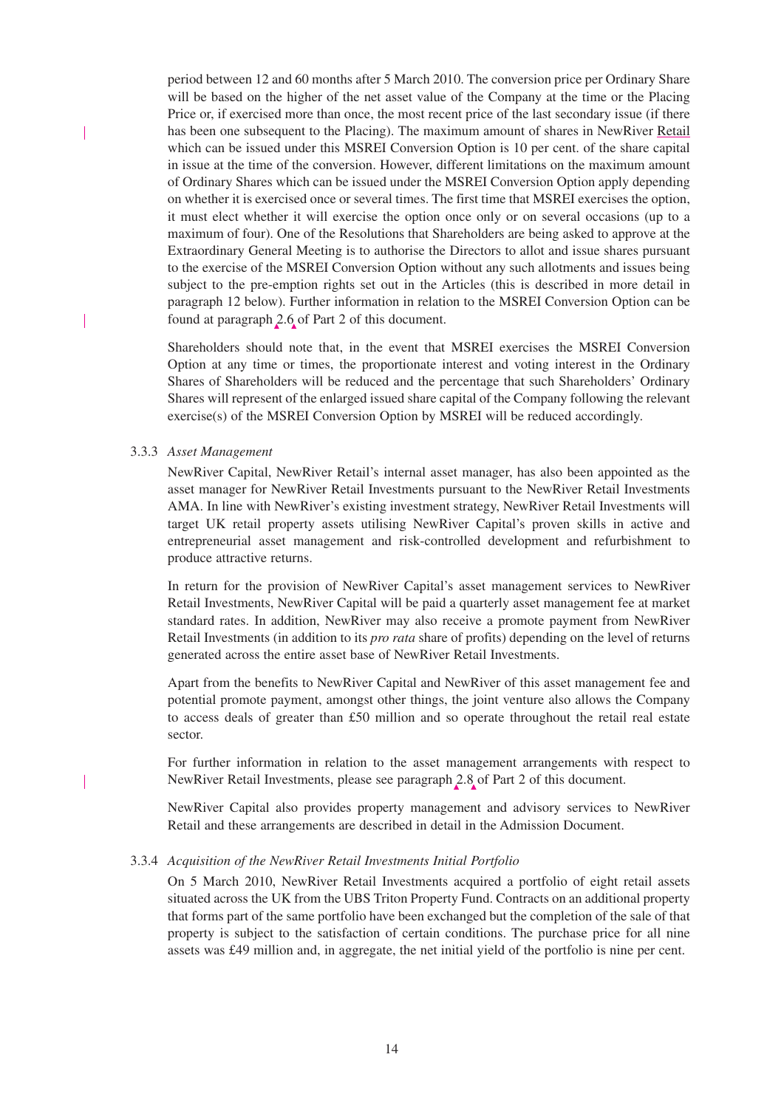period between 12 and 60 months after 5 March 2010. The conversion price per Ordinary Share will be based on the higher of the net asset value of the Company at the time or the Placing Price or, if exercised more than once, the most recent price of the last secondary issue (if there has been one subsequent to the Placing). The maximum amount of shares in NewRiver Retail which can be issued under this MSREI Conversion Option is 10 per cent. of the share capital in issue at the time of the conversion. However, different limitations on the maximum amount of Ordinary Shares which can be issued under the MSREI Conversion Option apply depending on whether it is exercised once or several times. The first time that MSREI exercises the option, it must elect whether it will exercise the option once only or on several occasions (up to a maximum of four). One of the Resolutions that Shareholders are being asked to approve at the Extraordinary General Meeting is to authorise the Directors to allot and issue shares pursuant to the exercise of the MSREI Conversion Option without any such allotments and issues being subject to the pre-emption rights set out in the Articles (this is described in more detail in paragraph 12 below). Further information in relation to the MSREI Conversion Option can be found at paragraph 2.6 of Part 2 of this document.

Shareholders should note that, in the event that MSREI exercises the MSREI Conversion Option at any time or times, the proportionate interest and voting interest in the Ordinary Shares of Shareholders will be reduced and the percentage that such Shareholders' Ordinary Shares will represent of the enlarged issued share capital of the Company following the relevant exercise(s) of the MSREI Conversion Option by MSREI will be reduced accordingly.

### 3.3.3 *Asset Management*

NewRiver Capital, NewRiver Retail's internal asset manager, has also been appointed as the asset manager for NewRiver Retail Investments pursuant to the NewRiver Retail Investments AMA. In line with NewRiver's existing investment strategy, NewRiver Retail Investments will target UK retail property assets utilising NewRiver Capital's proven skills in active and entrepreneurial asset management and risk-controlled development and refurbishment to produce attractive returns.

In return for the provision of NewRiver Capital's asset management services to NewRiver Retail Investments, NewRiver Capital will be paid a quarterly asset management fee at market standard rates. In addition, NewRiver may also receive a promote payment from NewRiver Retail Investments (in addition to its *pro rata* share of profits) depending on the level of returns generated across the entire asset base of NewRiver Retail Investments.

Apart from the benefits to NewRiver Capital and NewRiver of this asset management fee and potential promote payment, amongst other things, the joint venture also allows the Company to access deals of greater than £50 million and so operate throughout the retail real estate sector.

For further information in relation to the asset management arrangements with respect to NewRiver Retail Investments, please see paragraph 2.8 of Part 2 of this document.

NewRiver Capital also provides property management and advisory services to NewRiver Retail and these arrangements are described in detail in the Admission Document.

# 3.3.4 *Acquisition of the NewRiver Retail Investments Initial Portfolio*

On 5 March 2010, NewRiver Retail Investments acquired a portfolio of eight retail assets situated across the UK from the UBS Triton Property Fund. Contracts on an additional property that forms part of the same portfolio have been exchanged but the completion of the sale of that property is subject to the satisfaction of certain conditions. The purchase price for all nine assets was £49 million and, in aggregate, the net initial yield of the portfolio is nine per cent.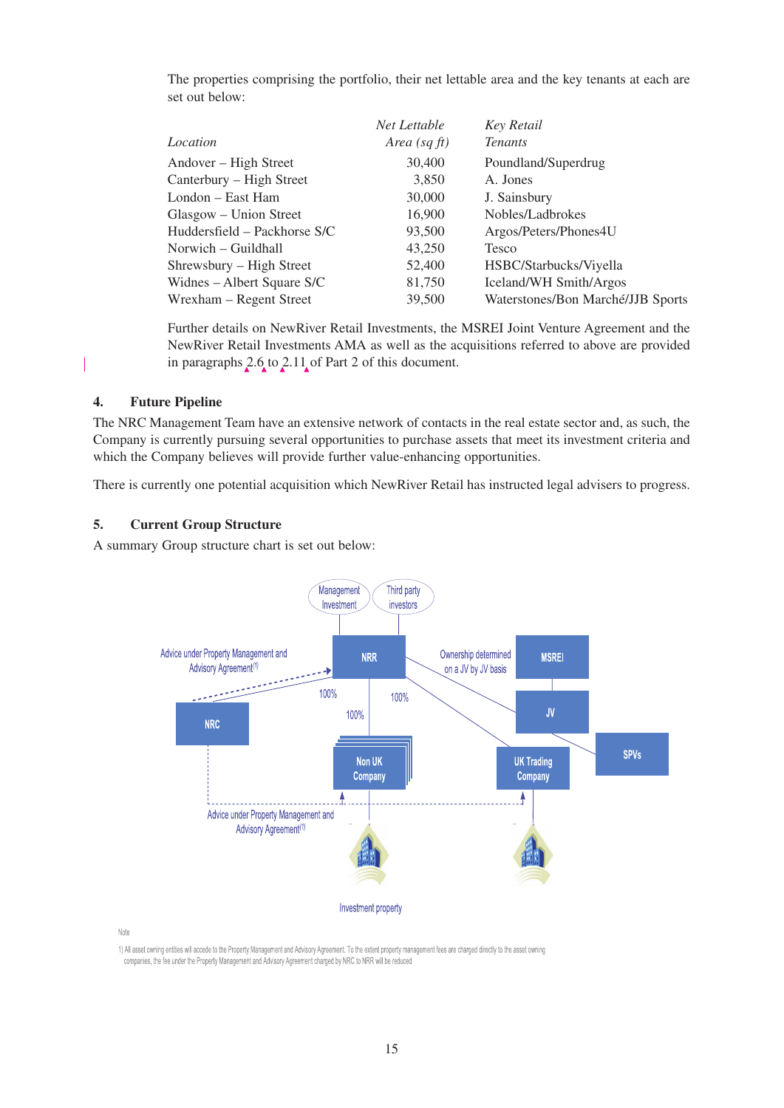The properties comprising the portfolio, their net lettable area and the key tenants at each are set out below:

|                              | Net Lettable    | <b>Key Retail</b>                 |
|------------------------------|-----------------|-----------------------------------|
| Location                     | Area (sq $ft$ ) | <b>Tenants</b>                    |
| Andover – High Street        | 30,400          | Poundland/Superdrug               |
| Canterbury – High Street     | 3,850           | A. Jones                          |
| London – East Ham            | 30,000          | J. Sainsbury                      |
| Glasgow – Union Street       | 16,900          | Nobles/Ladbrokes                  |
| Huddersfield – Packhorse S/C | 93,500          | Argos/Peters/Phones4U             |
| Norwich – Guildhall          | 43,250          | Tesco                             |
| Shrewsbury – High Street     | 52,400          | HSBC/Starbucks/Viyella            |
| Widnes – Albert Square S/C   | 81,750          | Iceland/WH Smith/Argos            |
| Wrexham – Regent Street      | 39,500          | Waterstones/Bon Marché/JJB Sports |

Further details on NewRiver Retail Investments, the MSREI Joint Venture Agreement and the NewRiver Retail Investments AMA as well as the acquisitions referred to above are provided in paragraphs 2.6 to 2.11 of Part 2 of this document.

# **4. Future Pipeline**

The NRC Management Team have an extensive network of contacts in the real estate sector and, as such, the Company is currently pursuing several opportunities to purchase assets that meet its investment criteria and which the Company believes will provide further value-enhancing opportunities.

There is currently one potential acquisition which NewRiver Retail has instructed legal advisers to progress.

### **5. Current Group Structure**

A summary Group structure chart is set out below:



Note

1) All asset owning entities will accede to the Property Management and Advisory Agreement. To the extent property management fees are charged directly to the asset owning companies, the fee under the Property Management and Advisory Agreement charged by NRC to NRR will be reduced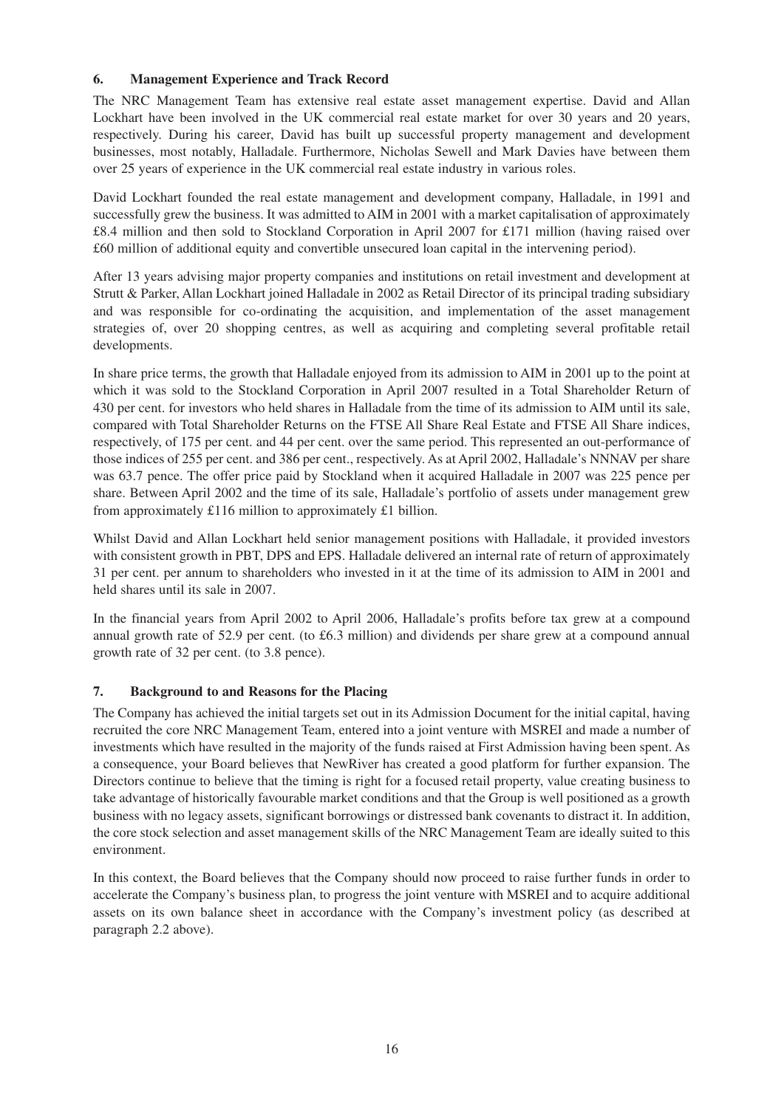# **6. Management Experience and Track Record**

The NRC Management Team has extensive real estate asset management expertise. David and Allan Lockhart have been involved in the UK commercial real estate market for over 30 years and 20 years, respectively. During his career, David has built up successful property management and development businesses, most notably, Halladale. Furthermore, Nicholas Sewell and Mark Davies have between them over 25 years of experience in the UK commercial real estate industry in various roles.

David Lockhart founded the real estate management and development company, Halladale, in 1991 and successfully grew the business. It was admitted to AIM in 2001 with a market capitalisation of approximately £8.4 million and then sold to Stockland Corporation in April 2007 for £171 million (having raised over £60 million of additional equity and convertible unsecured loan capital in the intervening period).

After 13 years advising major property companies and institutions on retail investment and development at Strutt & Parker, Allan Lockhart joined Halladale in 2002 as Retail Director of its principal trading subsidiary and was responsible for co-ordinating the acquisition, and implementation of the asset management strategies of, over 20 shopping centres, as well as acquiring and completing several profitable retail developments.

In share price terms, the growth that Halladale enjoyed from its admission to AIM in 2001 up to the point at which it was sold to the Stockland Corporation in April 2007 resulted in a Total Shareholder Return of 430 per cent. for investors who held shares in Halladale from the time of its admission to AIM until its sale, compared with Total Shareholder Returns on the FTSE All Share Real Estate and FTSE All Share indices, respectively, of 175 per cent. and 44 per cent. over the same period. This represented an out-performance of those indices of 255 per cent. and 386 per cent., respectively. As at April 2002, Halladale's NNNAV per share was 63.7 pence. The offer price paid by Stockland when it acquired Halladale in 2007 was 225 pence per share. Between April 2002 and the time of its sale, Halladale's portfolio of assets under management grew from approximately £116 million to approximately £1 billion.

Whilst David and Allan Lockhart held senior management positions with Halladale, it provided investors with consistent growth in PBT, DPS and EPS. Halladale delivered an internal rate of return of approximately 31 per cent. per annum to shareholders who invested in it at the time of its admission to AIM in 2001 and held shares until its sale in 2007.

In the financial years from April 2002 to April 2006, Halladale's profits before tax grew at a compound annual growth rate of 52.9 per cent. (to £6.3 million) and dividends per share grew at a compound annual growth rate of 32 per cent. (to 3.8 pence).

# **7. Background to and Reasons for the Placing**

The Company has achieved the initial targets set out in its Admission Document for the initial capital, having recruited the core NRC Management Team, entered into a joint venture with MSREI and made a number of investments which have resulted in the majority of the funds raised at First Admission having been spent. As a consequence, your Board believes that NewRiver has created a good platform for further expansion. The Directors continue to believe that the timing is right for a focused retail property, value creating business to take advantage of historically favourable market conditions and that the Group is well positioned as a growth business with no legacy assets, significant borrowings or distressed bank covenants to distract it. In addition, the core stock selection and asset management skills of the NRC Management Team are ideally suited to this environment.

In this context, the Board believes that the Company should now proceed to raise further funds in order to accelerate the Company's business plan, to progress the joint venture with MSREI and to acquire additional assets on its own balance sheet in accordance with the Company's investment policy (as described at paragraph 2.2 above).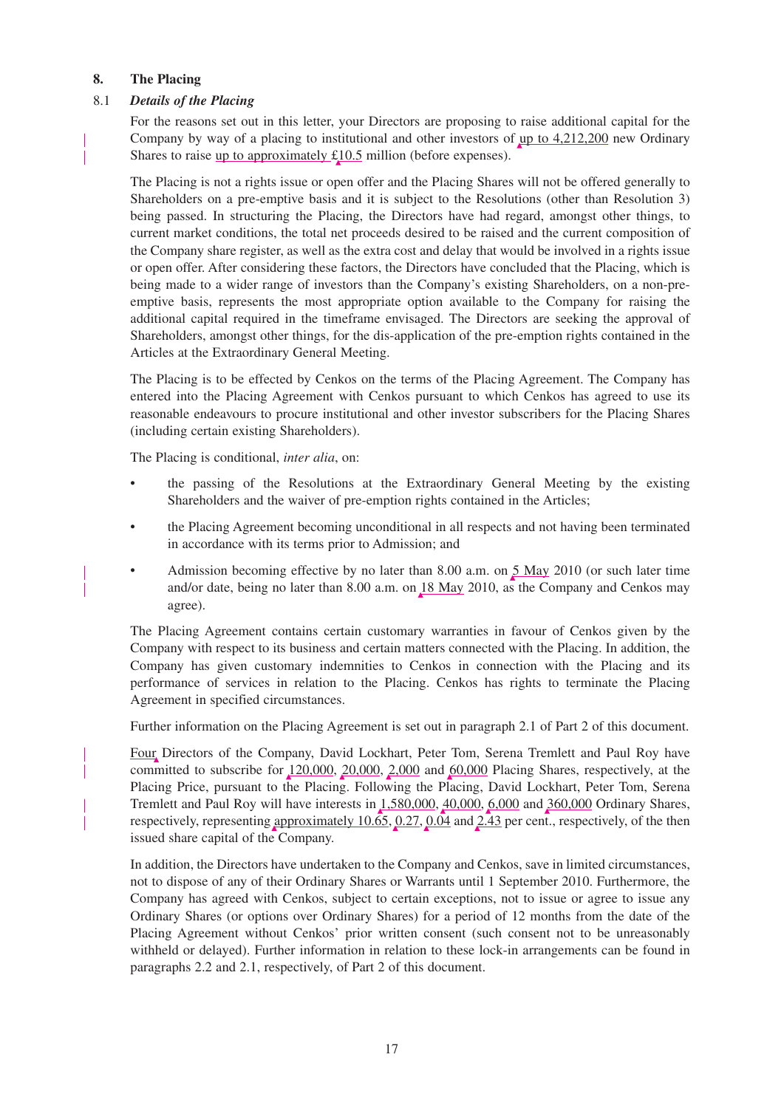## **8. The Placing**

## 8.1 *Details of the Placing*

For the reasons set out in this letter, your Directors are proposing to raise additional capital for the Company by way of a placing to institutional and other investors of up to 4,212,200 new Ordinary Shares to raise up to approximately £10.5 million (before expenses).

The Placing is not a rights issue or open offer and the Placing Shares will not be offered generally to Shareholders on a pre-emptive basis and it is subject to the Resolutions (other than Resolution 3) being passed. In structuring the Placing, the Directors have had regard, amongst other things, to current market conditions, the total net proceeds desired to be raised and the current composition of the Company share register, as well as the extra cost and delay that would be involved in a rights issue or open offer. After considering these factors, the Directors have concluded that the Placing, which is being made to a wider range of investors than the Company's existing Shareholders, on a non-preemptive basis, represents the most appropriate option available to the Company for raising the additional capital required in the timeframe envisaged. The Directors are seeking the approval of Shareholders, amongst other things, for the dis-application of the pre-emption rights contained in the Articles at the Extraordinary General Meeting.

The Placing is to be effected by Cenkos on the terms of the Placing Agreement. The Company has entered into the Placing Agreement with Cenkos pursuant to which Cenkos has agreed to use its reasonable endeavours to procure institutional and other investor subscribers for the Placing Shares (including certain existing Shareholders).

The Placing is conditional, *inter alia*, on:

- the passing of the Resolutions at the Extraordinary General Meeting by the existing Shareholders and the waiver of pre-emption rights contained in the Articles;
- the Placing Agreement becoming unconditional in all respects and not having been terminated in accordance with its terms prior to Admission; and
- Admission becoming effective by no later than 8.00 a.m. on 5 May 2010 (or such later time and/or date, being no later than 8.00 a.m. on 18 May 2010, as the Company and Cenkos may agree).

The Placing Agreement contains certain customary warranties in favour of Cenkos given by the Company with respect to its business and certain matters connected with the Placing. In addition, the Company has given customary indemnities to Cenkos in connection with the Placing and its performance of services in relation to the Placing. Cenkos has rights to terminate the Placing Agreement in specified circumstances.

Further information on the Placing Agreement is set out in paragraph 2.1 of Part 2 of this document.

Four Directors of the Company, David Lockhart, Peter Tom, Serena Tremlett and Paul Roy have committed to subscribe for 120,000, 20,000, 2,000 and 60,000 Placing Shares, respectively, at the Placing Price, pursuant to the Placing. Following the Placing, David Lockhart, Peter Tom, Serena Tremlett and Paul Roy will have interests in 1,580,000, 40,000, 6,000 and 360,000 Ordinary Shares, respectively, representing approximately 10.65,  $0.27$ ,  $0.04$  and  $2.\overline{43}$  per cent., respectively, of the then issued share capital of the Company.

In addition, the Directors have undertaken to the Company and Cenkos, save in limited circumstances, not to dispose of any of their Ordinary Shares or Warrants until 1 September 2010. Furthermore, the Company has agreed with Cenkos, subject to certain exceptions, not to issue or agree to issue any Ordinary Shares (or options over Ordinary Shares) for a period of 12 months from the date of the Placing Agreement without Cenkos' prior written consent (such consent not to be unreasonably withheld or delayed). Further information in relation to these lock-in arrangements can be found in paragraphs 2.2 and 2.1, respectively, of Part 2 of this document.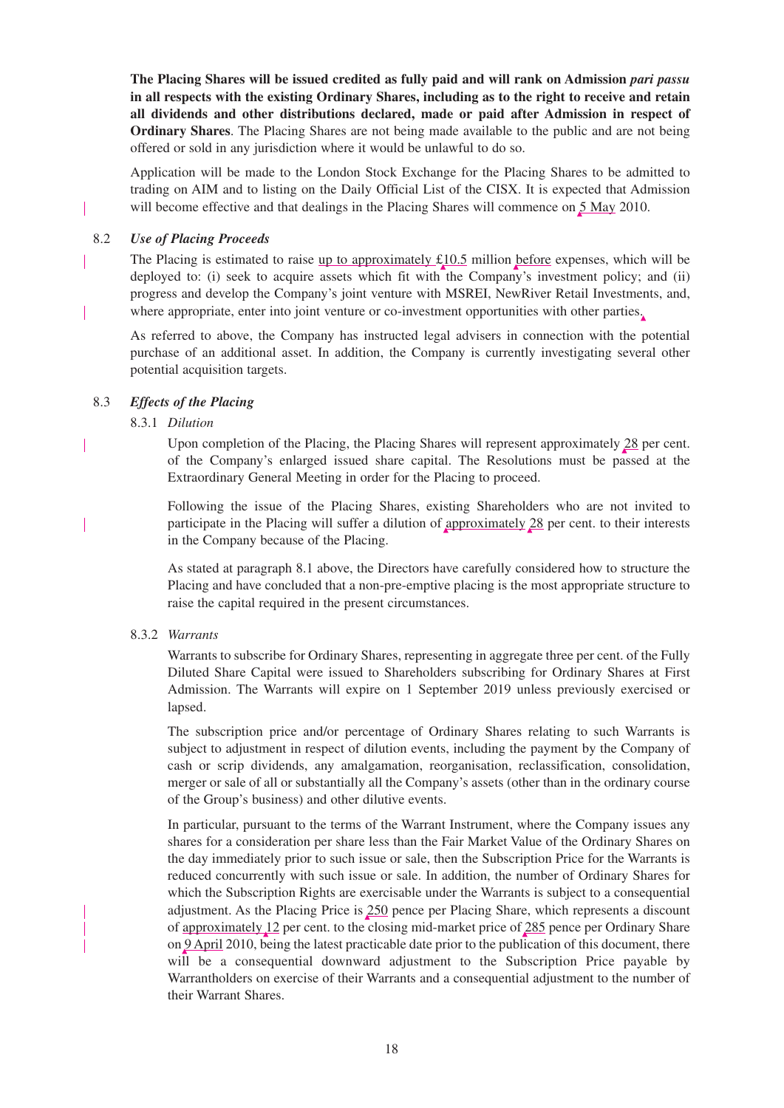**The Placing Shares will be issued credited as fully paid and will rank on Admission** *pari passu* **in all respects with the existing Ordinary Shares, including as to the right to receive and retain all dividends and other distributions declared, made or paid after Admission in respect of Ordinary Shares**. The Placing Shares are not being made available to the public and are not being offered or sold in any jurisdiction where it would be unlawful to do so.

Application will be made to the London Stock Exchange for the Placing Shares to be admitted to trading on AIM and to listing on the Daily Official List of the CISX. It is expected that Admission will become effective and that dealings in the Placing Shares will commence on  $\frac{5 \text{ May}}{2010}$ .

### 8.2 *Use of Placing Proceeds*

The Placing is estimated to raise up to approximately  $\pounds$ 10.5 million before expenses, which will be deployed to: (i) seek to acquire assets which fit with the Company's investment policy; and (ii) progress and develop the Company's joint venture with MSREI, NewRiver Retail Investments, and, where appropriate, enter into joint venture or co-investment opportunities with other parties.

As referred to above, the Company has instructed legal advisers in connection with the potential purchase of an additional asset. In addition, the Company is currently investigating several other potential acquisition targets.

### 8.3 *Effects of the Placing*

### 8.3.1 *Dilution*

Upon completion of the Placing, the Placing Shares will represent approximately 28 per cent. of the Company's enlarged issued share capital. The Resolutions must be passed at the Extraordinary General Meeting in order for the Placing to proceed.

Following the issue of the Placing Shares, existing Shareholders who are not invited to participate in the Placing will suffer a dilution of approximately 28 per cent. to their interests in the Company because of the Placing.

As stated at paragraph 8.1 above, the Directors have carefully considered how to structure the Placing and have concluded that a non-pre-emptive placing is the most appropriate structure to raise the capital required in the present circumstances.

# 8.3.2 *Warrants*

Warrants to subscribe for Ordinary Shares, representing in aggregate three per cent. of the Fully Diluted Share Capital were issued to Shareholders subscribing for Ordinary Shares at First Admission. The Warrants will expire on 1 September 2019 unless previously exercised or lapsed.

The subscription price and/or percentage of Ordinary Shares relating to such Warrants is subject to adjustment in respect of dilution events, including the payment by the Company of cash or scrip dividends, any amalgamation, reorganisation, reclassification, consolidation, merger or sale of all or substantially all the Company's assets (other than in the ordinary course of the Group's business) and other dilutive events.

In particular, pursuant to the terms of the Warrant Instrument, where the Company issues any shares for a consideration per share less than the Fair Market Value of the Ordinary Shares on the day immediately prior to such issue or sale, then the Subscription Price for the Warrants is reduced concurrently with such issue or sale. In addition, the number of Ordinary Shares for which the Subscription Rights are exercisable under the Warrants is subject to a consequential adjustment. As the Placing Price is 250 pence per Placing Share, which represents a discount of approximately 12 per cent. to the closing mid-market price of 285 pence per Ordinary Share on 9 April 2010, being the latest practicable date prior to the publication of this document, there will be a consequential downward adjustment to the Subscription Price payable by Warrantholders on exercise of their Warrants and a consequential adjustment to the number of their Warrant Shares.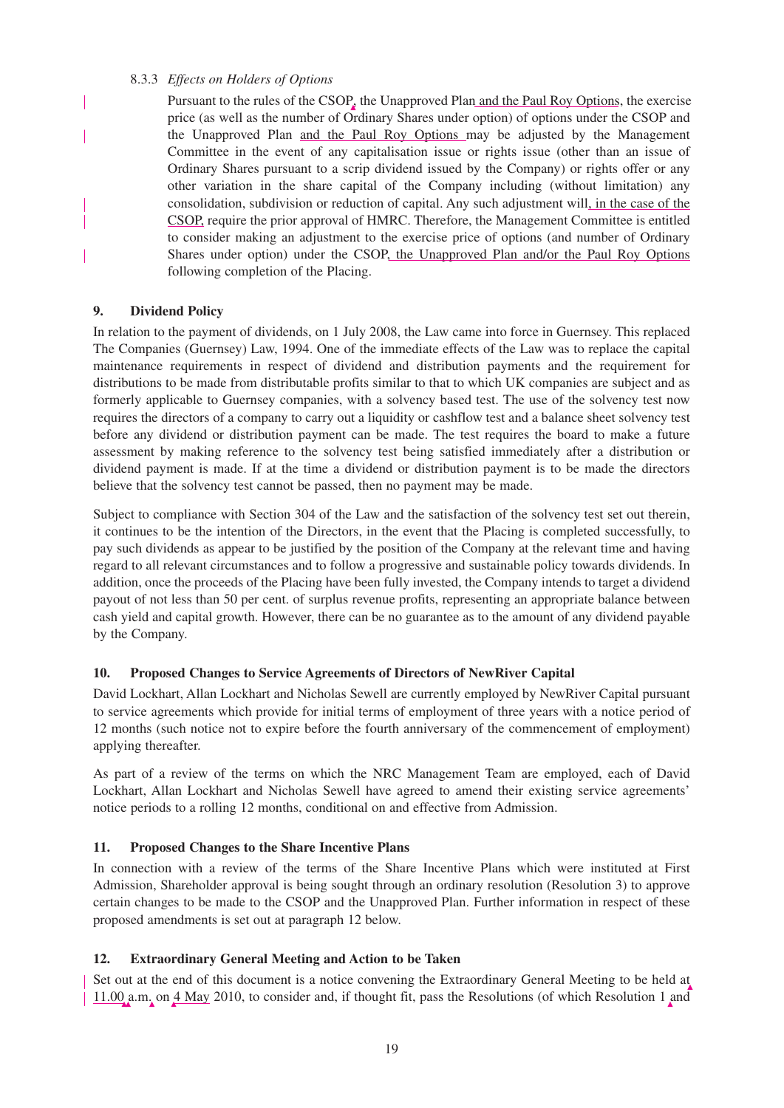## 8.3.3 *Effects on Holders of Options*

Pursuant to the rules of the  $CSOP<sub>e</sub>$  the Unapproved Plan and the Paul Roy Options, the exercise price (as well as the number of Ordinary Shares under option) of options under the CSOP and the Unapproved Plan and the Paul Roy Options may be adjusted by the Management Committee in the event of any capitalisation issue or rights issue (other than an issue of Ordinary Shares pursuant to a scrip dividend issued by the Company) or rights offer or any other variation in the share capital of the Company including (without limitation) any consolidation, subdivision or reduction of capital. Any such adjustment will, in the case of the CSOP, require the prior approval of HMRC. Therefore, the Management Committee is entitled to consider making an adjustment to the exercise price of options (and number of Ordinary Shares under option) under the CSOP, the Unapproved Plan and/or the Paul Roy Options following completion of the Placing.

# **9. Dividend Policy**

 $\overline{\phantom{a}}$ 

In relation to the payment of dividends, on 1 July 2008, the Law came into force in Guernsey. This replaced The Companies (Guernsey) Law, 1994. One of the immediate effects of the Law was to replace the capital maintenance requirements in respect of dividend and distribution payments and the requirement for distributions to be made from distributable profits similar to that to which UK companies are subject and as formerly applicable to Guernsey companies, with a solvency based test. The use of the solvency test now requires the directors of a company to carry out a liquidity or cashflow test and a balance sheet solvency test before any dividend or distribution payment can be made. The test requires the board to make a future assessment by making reference to the solvency test being satisfied immediately after a distribution or dividend payment is made. If at the time a dividend or distribution payment is to be made the directors believe that the solvency test cannot be passed, then no payment may be made.

Subject to compliance with Section 304 of the Law and the satisfaction of the solvency test set out therein, it continues to be the intention of the Directors, in the event that the Placing is completed successfully, to pay such dividends as appear to be justified by the position of the Company at the relevant time and having regard to all relevant circumstances and to follow a progressive and sustainable policy towards dividends. In addition, once the proceeds of the Placing have been fully invested, the Company intends to target a dividend payout of not less than 50 per cent. of surplus revenue profits, representing an appropriate balance between cash yield and capital growth. However, there can be no guarantee as to the amount of any dividend payable by the Company.

# **10. Proposed Changes to Service Agreements of Directors of NewRiver Capital**

David Lockhart, Allan Lockhart and Nicholas Sewell are currently employed by NewRiver Capital pursuant to service agreements which provide for initial terms of employment of three years with a notice period of 12 months (such notice not to expire before the fourth anniversary of the commencement of employment) applying thereafter.

As part of a review of the terms on which the NRC Management Team are employed, each of David Lockhart, Allan Lockhart and Nicholas Sewell have agreed to amend their existing service agreements' notice periods to a rolling 12 months, conditional on and effective from Admission.

# **11. Proposed Changes to the Share Incentive Plans**

In connection with a review of the terms of the Share Incentive Plans which were instituted at First Admission, Shareholder approval is being sought through an ordinary resolution (Resolution 3) to approve certain changes to be made to the CSOP and the Unapproved Plan. Further information in respect of these proposed amendments is set out at paragraph 12 below.

# **12. Extraordinary General Meeting and Action to be Taken**

Set out at the end of this document is a notice convening the Extraordinary General Meeting to be held at 11.00 a.m. on 4 May 2010, to consider and, if thought fit, pass the Resolutions (of which Resolution 1 and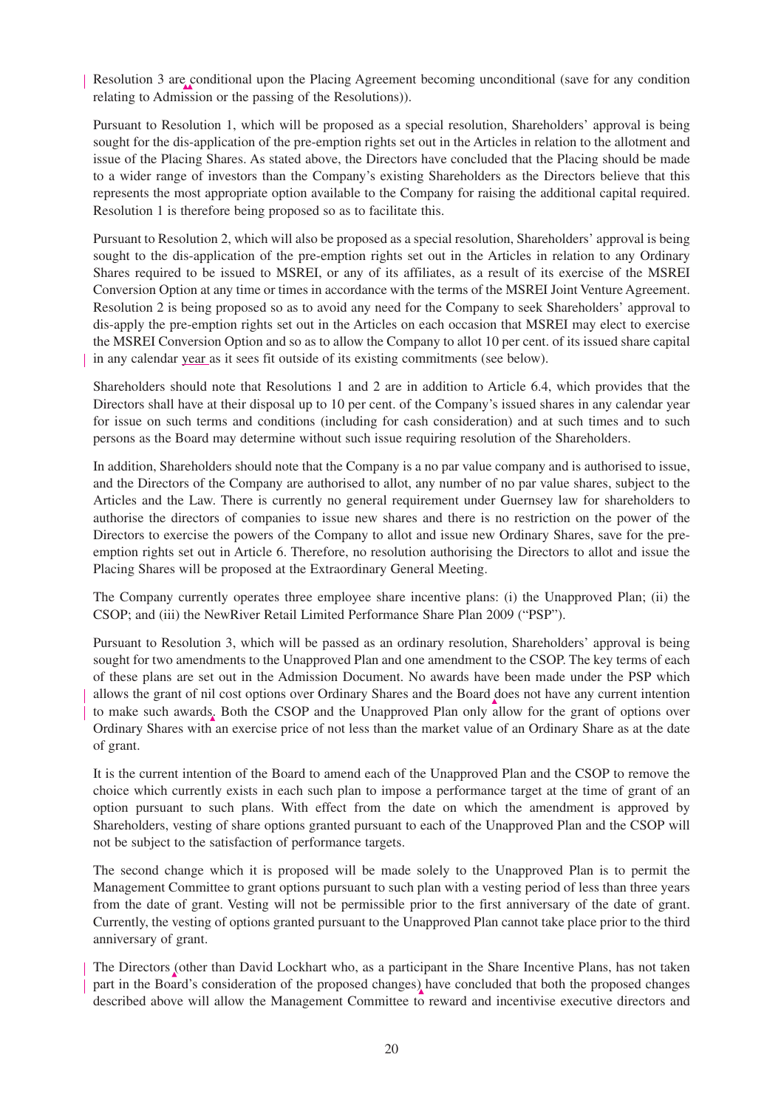Resolution 3 are conditional upon the Placing Agreement becoming unconditional (save for any condition relating to Admission or the passing of the Resolutions)).

Pursuant to Resolution 1, which will be proposed as a special resolution, Shareholders' approval is being sought for the dis-application of the pre-emption rights set out in the Articles in relation to the allotment and issue of the Placing Shares. As stated above, the Directors have concluded that the Placing should be made to a wider range of investors than the Company's existing Shareholders as the Directors believe that this represents the most appropriate option available to the Company for raising the additional capital required. Resolution 1 is therefore being proposed so as to facilitate this.

Pursuant to Resolution 2, which will also be proposed as a special resolution, Shareholders' approval is being sought to the dis-application of the pre-emption rights set out in the Articles in relation to any Ordinary Shares required to be issued to MSREI, or any of its affiliates, as a result of its exercise of the MSREI Conversion Option at any time or times in accordance with the terms of the MSREI Joint Venture Agreement. Resolution 2 is being proposed so as to avoid any need for the Company to seek Shareholders' approval to dis-apply the pre-emption rights set out in the Articles on each occasion that MSREI may elect to exercise the MSREI Conversion Option and so as to allow the Company to allot 10 per cent. of its issued share capital in any calendar year as it sees fit outside of its existing commitments (see below).

Shareholders should note that Resolutions 1 and 2 are in addition to Article 6.4, which provides that the Directors shall have at their disposal up to 10 per cent. of the Company's issued shares in any calendar year for issue on such terms and conditions (including for cash consideration) and at such times and to such persons as the Board may determine without such issue requiring resolution of the Shareholders.

In addition, Shareholders should note that the Company is a no par value company and is authorised to issue, and the Directors of the Company are authorised to allot, any number of no par value shares, subject to the Articles and the Law. There is currently no general requirement under Guernsey law for shareholders to authorise the directors of companies to issue new shares and there is no restriction on the power of the Directors to exercise the powers of the Company to allot and issue new Ordinary Shares, save for the preemption rights set out in Article 6. Therefore, no resolution authorising the Directors to allot and issue the Placing Shares will be proposed at the Extraordinary General Meeting.

The Company currently operates three employee share incentive plans: (i) the Unapproved Plan; (ii) the CSOP; and (iii) the NewRiver Retail Limited Performance Share Plan 2009 ("PSP").

Pursuant to Resolution 3, which will be passed as an ordinary resolution, Shareholders' approval is being sought for two amendments to the Unapproved Plan and one amendment to the CSOP. The key terms of each of these plans are set out in the Admission Document. No awards have been made under the PSP which allows the grant of nil cost options over Ordinary Shares and the Board does not have any current intention to make such awards. Both the CSOP and the Unapproved Plan only allow for the grant of options over Ordinary Shares with an exercise price of not less than the market value of an Ordinary Share as at the date of grant.

It is the current intention of the Board to amend each of the Unapproved Plan and the CSOP to remove the choice which currently exists in each such plan to impose a performance target at the time of grant of an option pursuant to such plans. With effect from the date on which the amendment is approved by Shareholders, vesting of share options granted pursuant to each of the Unapproved Plan and the CSOP will not be subject to the satisfaction of performance targets.

The second change which it is proposed will be made solely to the Unapproved Plan is to permit the Management Committee to grant options pursuant to such plan with a vesting period of less than three years from the date of grant. Vesting will not be permissible prior to the first anniversary of the date of grant. Currently, the vesting of options granted pursuant to the Unapproved Plan cannot take place prior to the third anniversary of grant.

The Directors (other than David Lockhart who, as a participant in the Share Incentive Plans, has not taken part in the Board's consideration of the proposed changes) have concluded that both the proposed changes described above will allow the Management Committee to reward and incentivise executive directors and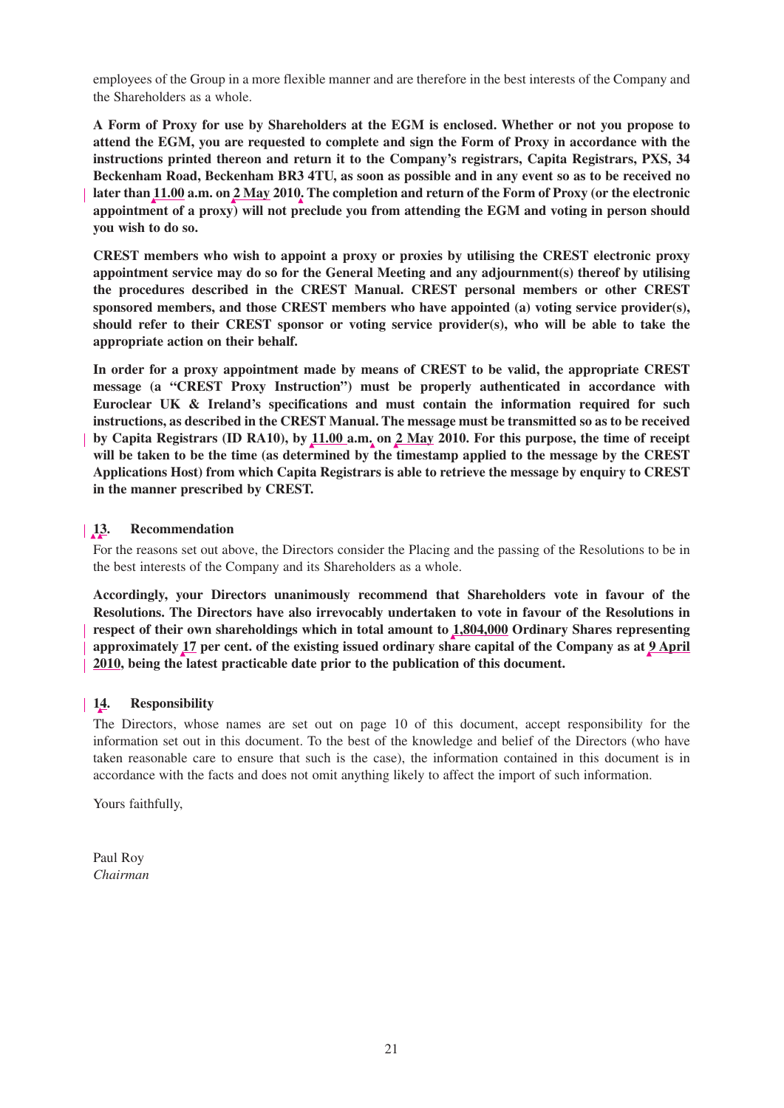employees of the Group in a more flexible manner and are therefore in the best interests of the Company and the Shareholders as a whole.

**A Form of Proxy for use by Shareholders at the EGM is enclosed. Whether or not you propose to attend the EGM, you are requested to complete and sign the Form of Proxy in accordance with the instructions printed thereon and return it to the Company's registrars, Capita Registrars, PXS, 34 Beckenham Road, Beckenham BR3 4TU, as soon as possible and in any event so as to be received no later than 11.00 a.m. on 2 May 2010. The completion and return of the Form of Proxy (or the electronic appointment of a proxy) will not preclude you from attending the EGM and voting in person should you wish to do so.**

**CREST members who wish to appoint a proxy or proxies by utilising the CREST electronic proxy appointment service may do so for the General Meeting and any adjournment(s) thereof by utilising the procedures described in the CREST Manual. CREST personal members or other CREST sponsored members, and those CREST members who have appointed (a) voting service provider(s), should refer to their CREST sponsor or voting service provider(s), who will be able to take the appropriate action on their behalf.**

**In order for a proxy appointment made by means of CREST to be valid, the appropriate CREST message (a "CREST Proxy Instruction") must be properly authenticated in accordance with Euroclear UK & Ireland's specifications and must contain the information required for such instructions, as described in the CREST Manual. The message must be transmitted so as to be received by Capita Registrars (ID RA10), by 11.00 a.m. on 2 May 2010. For this purpose, the time of receipt will be taken to be the time (as determined by the timestamp applied to the message by the CREST Applications Host) from which Capita Registrars is able to retrieve the message by enquiry to CREST in the manner prescribed by CREST.**

# **13. Recommendation**

For the reasons set out above, the Directors consider the Placing and the passing of the Resolutions to be in the best interests of the Company and its Shareholders as a whole.

**Accordingly, your Directors unanimously recommend that Shareholders vote in favour of the Resolutions. The Directors have also irrevocably undertaken to vote in favour of the Resolutions in respect of their own shareholdings which in total amount to 1,804,000 Ordinary Shares representing approximately 17 per cent. of the existing issued ordinary share capital of the Company as at 9 April 2010, being the latest practicable date prior to the publication of this document.**

# **14. Responsibility**

The Directors, whose names are set out on page 10 of this document, accept responsibility for the information set out in this document. To the best of the knowledge and belief of the Directors (who have taken reasonable care to ensure that such is the case), the information contained in this document is in accordance with the facts and does not omit anything likely to affect the import of such information.

Yours faithfully,

Paul Roy *Chairman*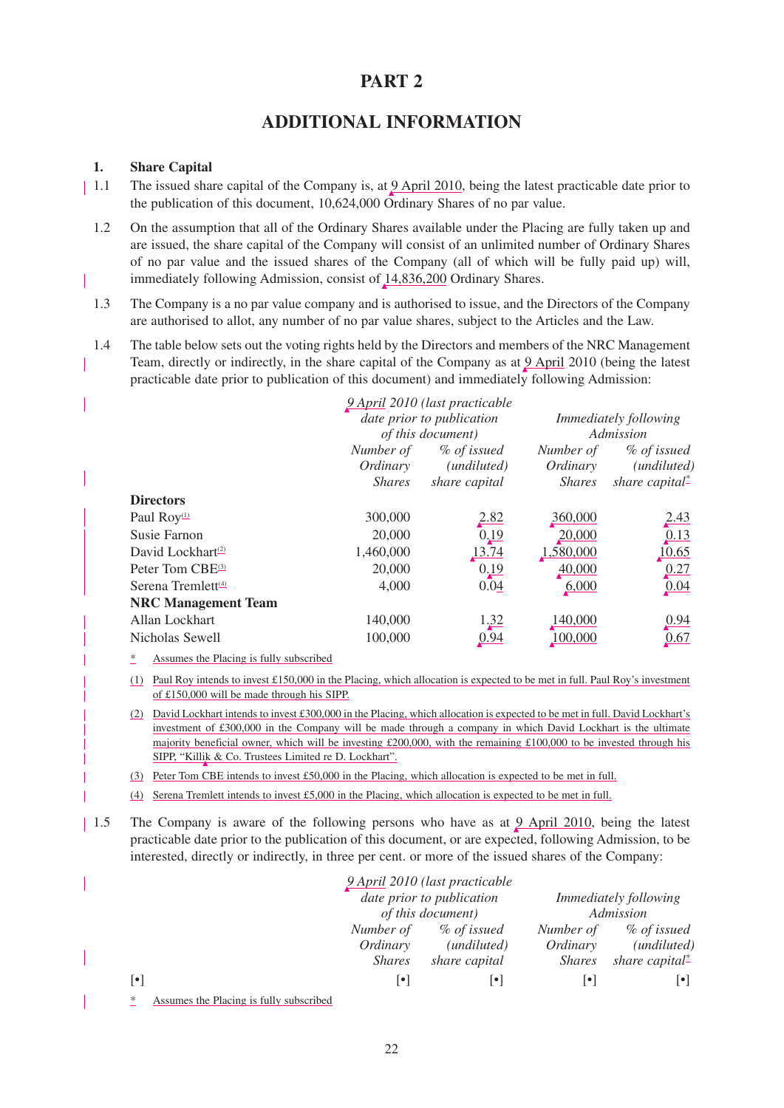# **PART 2**

# **ADDITIONAL INFORMATION**

# **1. Share Capital**

- 1.1 The issued share capital of the Company is, at  $9$  April 2010, being the latest practicable date prior to the publication of this document, 10,624,000 Ordinary Shares of no par value.
	- 1.2 On the assumption that all of the Ordinary Shares available under the Placing are fully taken up and are issued, the share capital of the Company will consist of an unlimited number of Ordinary Shares of no par value and the issued shares of the Company (all of which will be fully paid up) will, immediately following Admission, consist of 14,836,200 Ordinary Shares.
	- 1.3 The Company is a no par value company and is authorised to issue, and the Directors of the Company are authorised to allot, any number of no par value shares, subject to the Articles and the Law.
- 1.4 The table below sets out the voting rights held by the Directors and members of the NRC Management Team, directly or indirectly, in the share capital of the Company as at  $9$  April 2010 (being the latest practicable date prior to publication of this document) and immediately following Admission:

|                                |                           | 9 April 2010 (last practicable |                              |                           |
|--------------------------------|---------------------------|--------------------------------|------------------------------|---------------------------|
|                                | date prior to publication |                                | <i>Immediately following</i> |                           |
|                                |                           | <i>of this document</i> )      | Admission                    |                           |
|                                | Number of                 | % of issued                    | Number of                    | % of issued               |
|                                | Ordinary                  | ( <i>undiluted</i> )           | Ordinary                     | (undiluted)               |
|                                | <i>Shares</i>             | share capital                  | <i>Shares</i>                | share capital $\ddot{\ }$ |
| <b>Directors</b>               |                           |                                |                              |                           |
| Paul Roy <sup>(1)</sup>        | 300,000                   | 2.82                           | 360,000                      | <u>2.43</u>               |
| Susie Farnon                   | 20,000                    | 0.19                           | 20,000                       | 0.13                      |
| David Lockhart <sup>(2)</sup>  | 1,460,000                 | 13.74                          | 1,580,000                    | 10.65                     |
| Peter Tom CBE <sup>(3)</sup>   | 20,000                    | 0.19                           | 40,000                       | 0.27                      |
| Serena Tremlett <sup>(4)</sup> | 4,000                     | 0.04                           | 6,000                        | 0.04                      |
| <b>NRC Management Team</b>     |                           |                                |                              |                           |
| Allan Lockhart                 | 140,000                   | 1,32                           | 140,000                      | 0.94                      |
| Nicholas Sewell                | 100,000                   | 0.94                           | 100,000                      | 0.67                      |

Assumes the Placing is fully subscribed

(1) Paul Roy intends to invest £150,000 in the Placing, which allocation is expected to be met in full. Paul Roy's investment of £150,000 will be made through his SIPP.

(2) David Lockhart intends to invest £300,000 in the Placing, which allocation is expected to be met in full. David Lockhart's investment of £300,000 in the Company will be made through a company in which David Lockhart is the ultimate majority beneficial owner, which will be investing £200,000, with the remaining £100,000 to be invested through his SIPP, "Killik & Co. Trustees Limited re D. Lockhart".

- (3) Peter Tom CBE intends to invest £50,000 in the Placing, which allocation is expected to be met in full.
- (4) Serena Tremlett intends to invest £5,000 in the Placing, which allocation is expected to be met in full.
- 1.5 The Company is aware of the following persons who have as at 9 April 2010, being the latest practicable date prior to the publication of this document, or are expected, following Admission, to be interested, directly or indirectly, in three per cent. or more of the issued shares of the Company:

|                                              |                          | 9 April 2010 (last practicable |               |                                |
|----------------------------------------------|--------------------------|--------------------------------|---------------|--------------------------------|
|                                              |                          | date prior to publication      |               | <i>Immediately following</i>   |
|                                              |                          | of this document)              |               | Admission                      |
|                                              | Number of                | % of issued                    | Number of     | % of issued                    |
|                                              | Ordinary                 | ( <i>undiluted</i> )           | Ordinary      | ( <i>undiluted</i> )           |
|                                              | <i>Shares</i>            | share capital                  | <i>Shares</i> | share capital $\ddot{\text{}}$ |
| $\lceil \bullet \rceil$                      | $\left  \bullet \right $ | $\left  \bullet \right $       | •             | $\vert \bullet \vert$          |
| Assumes the Placing is fully subscribed<br>* |                          |                                |               |                                |

22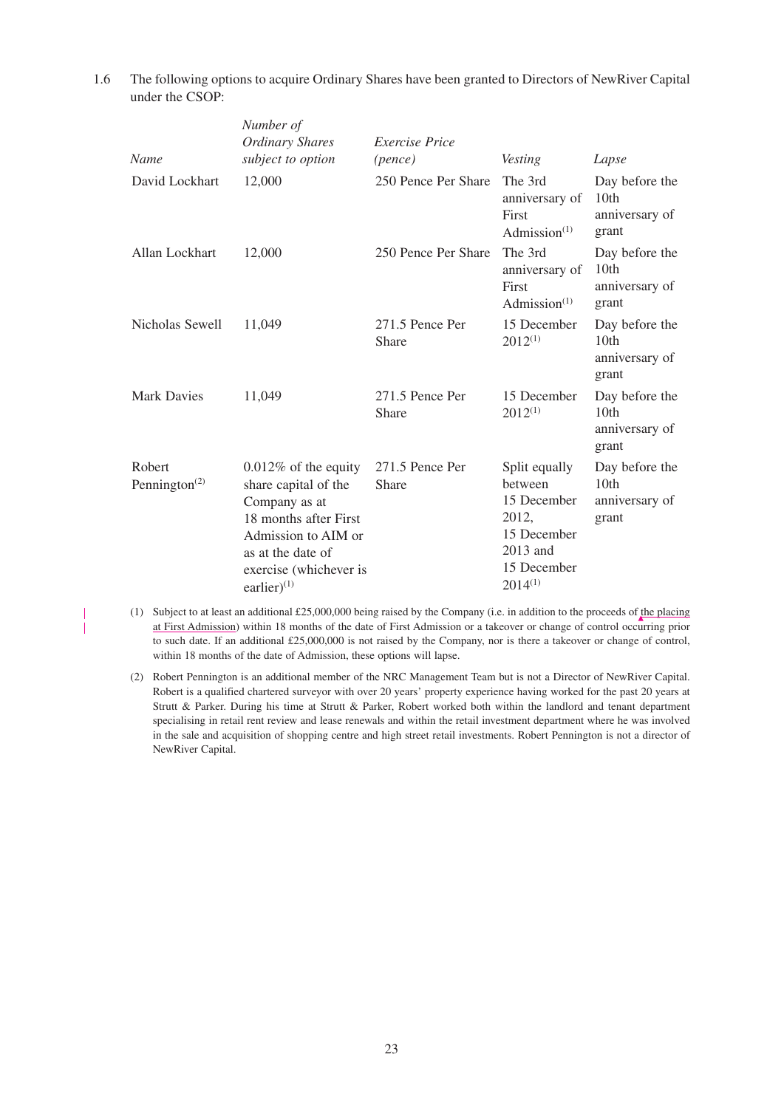1.6 The following options to acquire Ordinary Shares have been granted to Directors of NewRiver Capital under the CSOP:

| Name                                             | Number of<br><b>Ordinary Shares</b><br>subject to option                                                                                                                          | <i>Exercise Price</i><br>(pence) | Vesting                                                                                                    | Lapse                                                         |
|--------------------------------------------------|-----------------------------------------------------------------------------------------------------------------------------------------------------------------------------------|----------------------------------|------------------------------------------------------------------------------------------------------------|---------------------------------------------------------------|
| David Lockhart                                   | 12,000                                                                                                                                                                            | 250 Pence Per Share              | The 3rd<br>anniversary of<br>First<br>Admission $(1)$                                                      | Day before the<br>10th<br>anniversary of<br>grant             |
| Allan Lockhart                                   | 12,000                                                                                                                                                                            | 250 Pence Per Share              | The 3rd<br>anniversary of<br>First<br>Admission $(1)$                                                      | Day before the<br>10th<br>anniversary of<br>grant             |
| Nicholas Sewell                                  | 11,049                                                                                                                                                                            | 271.5 Pence Per<br>Share         | 15 December<br>$2012^{(1)}$                                                                                | Day before the<br>10 <sub>th</sub><br>anniversary of<br>grant |
| <b>Mark Davies</b>                               | 11,049                                                                                                                                                                            | 271.5 Pence Per<br>Share         | 15 December<br>$2012^{(1)}$                                                                                | Day before the<br>10 <sub>th</sub><br>anniversary of<br>grant |
| Robert<br>Pennington <sup><math>(2)</math></sup> | $0.012\%$ of the equity<br>share capital of the<br>Company as at<br>18 months after First<br>Admission to AIM or<br>as at the date of<br>exercise (whichever is<br>earlier) $(1)$ | 271.5 Pence Per<br><b>Share</b>  | Split equally<br>between<br>15 December<br>2012,<br>15 December<br>2013 and<br>15 December<br>$2014^{(1)}$ | Day before the<br>10 <sub>th</sub><br>anniversary of<br>grant |

- (1) Subject to at least an additional £25,000,000 being raised by the Company (i.e. in addition to the proceeds of the placing at First Admission) within 18 months of the date of First Admission or a takeover or change of control occurring prior to such date. If an additional £25,000,000 is not raised by the Company, nor is there a takeover or change of control, within 18 months of the date of Admission, these options will lapse.
- (2) Robert Pennington is an additional member of the NRC Management Team but is not a Director of NewRiver Capital. Robert is a qualified chartered surveyor with over 20 years' property experience having worked for the past 20 years at Strutt & Parker. During his time at Strutt & Parker, Robert worked both within the landlord and tenant department specialising in retail rent review and lease renewals and within the retail investment department where he was involved in the sale and acquisition of shopping centre and high street retail investments. Robert Pennington is not a director of NewRiver Capital.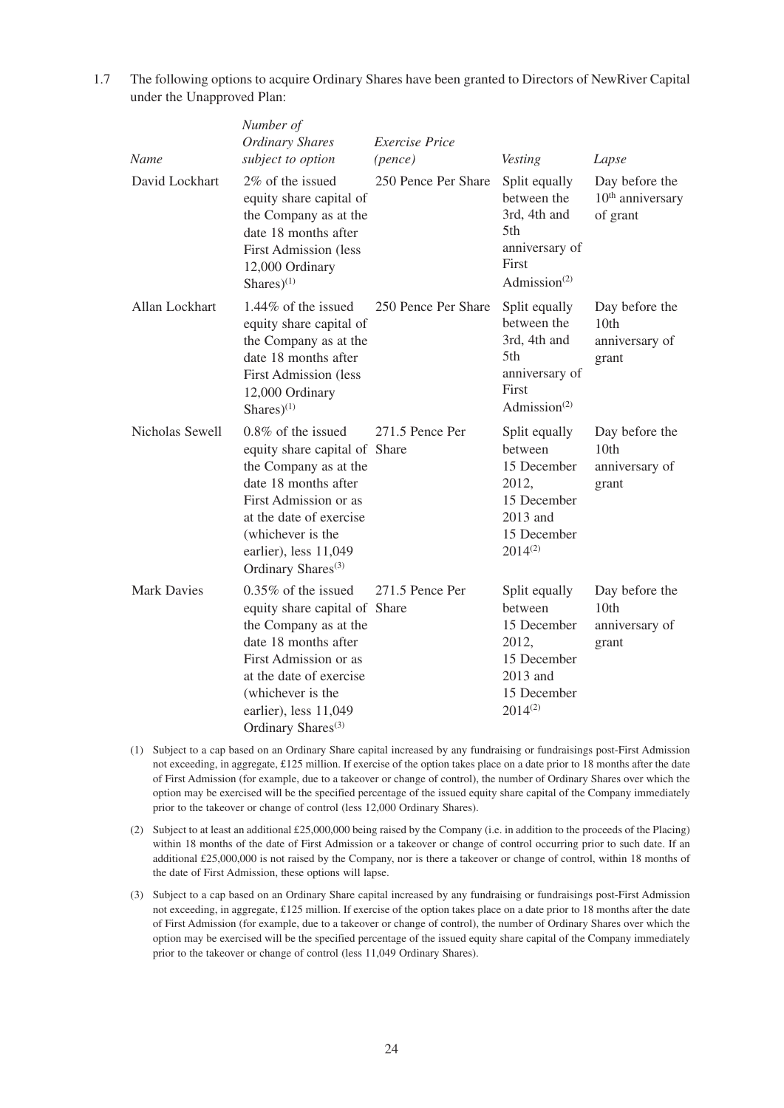| <b>Name</b>        | Number of<br><b>Ordinary Shares</b><br>subject to option                                                                                                                                                                                     | <b>Exercise</b> Price<br>(pence) | Vesting                                                                                                    | Lapse                                             |
|--------------------|----------------------------------------------------------------------------------------------------------------------------------------------------------------------------------------------------------------------------------------------|----------------------------------|------------------------------------------------------------------------------------------------------------|---------------------------------------------------|
| David Lockhart     | 2% of the issued<br>equity share capital of<br>the Company as at the<br>date 18 months after<br><b>First Admission (less</b><br>12,000 Ordinary<br>Shares $)^{(1)}$                                                                          | 250 Pence Per Share              | Split equally<br>between the<br>3rd, 4th and<br>5th<br>anniversary of<br>First<br>Admission $(2)$          | Day before the<br>$10th$ anniversary<br>of grant  |
| Allan Lockhart     | 1.44% of the issued<br>equity share capital of<br>the Company as at the<br>date 18 months after<br><b>First Admission (less</b><br>12,000 Ordinary<br>Shares $)^{(1)}$                                                                       | 250 Pence Per Share              | Split equally<br>between the<br>3rd, 4th and<br>5th<br>anniversary of<br>First<br>Admission $(2)$          | Day before the<br>10th<br>anniversary of<br>grant |
| Nicholas Sewell    | 0.8% of the issued<br>equity share capital of Share<br>the Company as at the<br>date 18 months after<br>First Admission or as<br>at the date of exercise<br>(whichever is the<br>earlier), less 11,049<br>Ordinary Shares <sup>(3)</sup>     | 271.5 Pence Per                  | Split equally<br>between<br>15 December<br>2012,<br>15 December<br>2013 and<br>15 December<br>$2014^{(2)}$ | Day before the<br>10th<br>anniversary of<br>grant |
| <b>Mark Davies</b> | $0.35\%$ of the issued<br>equity share capital of Share<br>the Company as at the<br>date 18 months after<br>First Admission or as<br>at the date of exercise<br>(whichever is the<br>earlier), less 11,049<br>Ordinary Shares <sup>(3)</sup> | 271.5 Pence Per                  | Split equally<br>between<br>15 December<br>2012,<br>15 December<br>2013 and<br>15 December<br>$2014^{(2)}$ | Day before the<br>10th<br>anniversary of<br>grant |

1.7 The following options to acquire Ordinary Shares have been granted to Directors of NewRiver Capital under the Unapproved Plan:

- (1) Subject to a cap based on an Ordinary Share capital increased by any fundraising or fundraisings post-First Admission not exceeding, in aggregate, £125 million. If exercise of the option takes place on a date prior to 18 months after the date of First Admission (for example, due to a takeover or change of control), the number of Ordinary Shares over which the option may be exercised will be the specified percentage of the issued equity share capital of the Company immediately prior to the takeover or change of control (less 12,000 Ordinary Shares).
- (2) Subject to at least an additional £25,000,000 being raised by the Company (i.e. in addition to the proceeds of the Placing) within 18 months of the date of First Admission or a takeover or change of control occurring prior to such date. If an additional £25,000,000 is not raised by the Company, nor is there a takeover or change of control, within 18 months of the date of First Admission, these options will lapse.
- (3) Subject to a cap based on an Ordinary Share capital increased by any fundraising or fundraisings post-First Admission not exceeding, in aggregate, £125 million. If exercise of the option takes place on a date prior to 18 months after the date of First Admission (for example, due to a takeover or change of control), the number of Ordinary Shares over which the option may be exercised will be the specified percentage of the issued equity share capital of the Company immediately prior to the takeover or change of control (less 11,049 Ordinary Shares).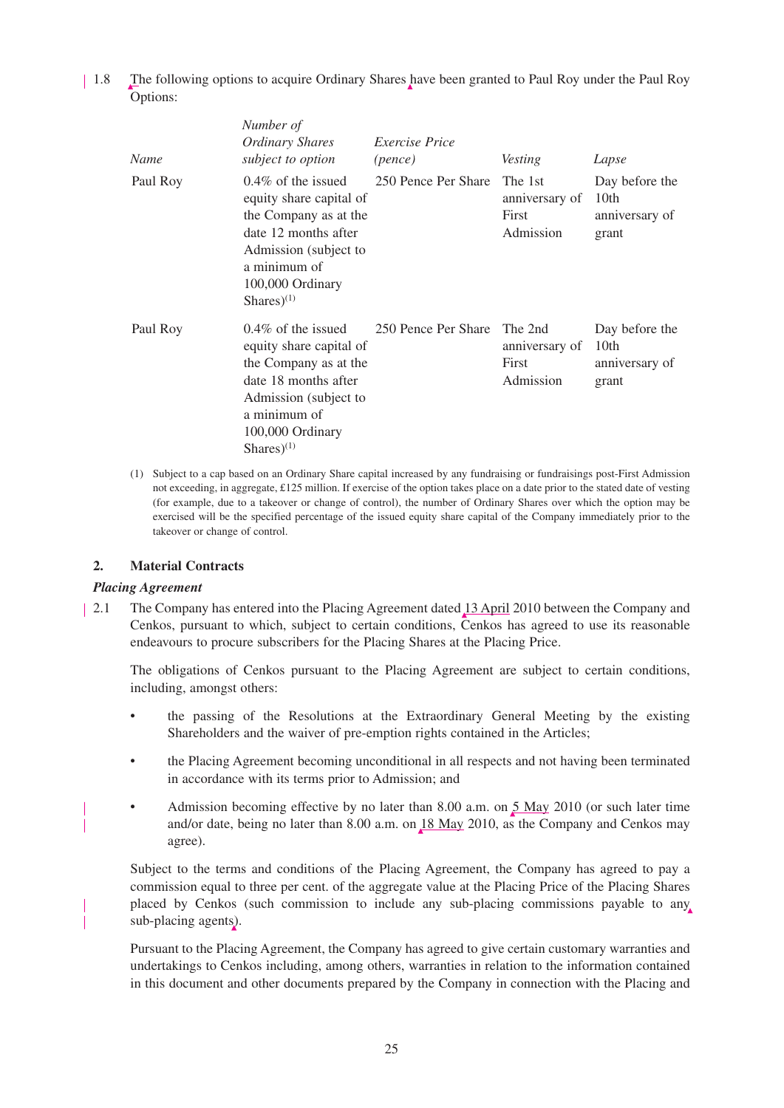1.8 The following options to acquire Ordinary Shares have been granted to Paul Roy under the Paul Roy Options:

| Name     | Number of<br>Ordinary Shares<br>subject to option                                                                                                                                  | <i>Exercise Price</i><br>(pence) | Vesting                                         | Lapse                                                         |
|----------|------------------------------------------------------------------------------------------------------------------------------------------------------------------------------------|----------------------------------|-------------------------------------------------|---------------------------------------------------------------|
| Paul Roy | $0.4\%$ of the issued<br>equity share capital of<br>the Company as at the<br>date 12 months after<br>Admission (subject to<br>a minimum of<br>100,000 Ordinary<br>Shares $)^{(1)}$ | 250 Pence Per Share              | The 1st<br>anniversary of<br>First<br>Admission | Day before the<br>10th<br>anniversary of<br>grant             |
| Paul Roy | $0.4\%$ of the issued<br>equity share capital of<br>the Company as at the<br>date 18 months after<br>Admission (subject to<br>a minimum of<br>100,000 Ordinary<br>Shares $)^{(1)}$ | 250 Pence Per Share              | The 2nd<br>anniversary of<br>First<br>Admission | Day before the<br>10 <sub>th</sub><br>anniversary of<br>grant |

(1) Subject to a cap based on an Ordinary Share capital increased by any fundraising or fundraisings post-First Admission not exceeding, in aggregate, £125 million. If exercise of the option takes place on a date prior to the stated date of vesting (for example, due to a takeover or change of control), the number of Ordinary Shares over which the option may be exercised will be the specified percentage of the issued equity share capital of the Company immediately prior to the takeover or change of control.

### **2. Material Contracts**

## *Placing Agreement*

2.1 The Company has entered into the Placing Agreement dated 13 April 2010 between the Company and Cenkos, pursuant to which, subject to certain conditions, Cenkos has agreed to use its reasonable endeavours to procure subscribers for the Placing Shares at the Placing Price.

The obligations of Cenkos pursuant to the Placing Agreement are subject to certain conditions, including, amongst others:

- the passing of the Resolutions at the Extraordinary General Meeting by the existing Shareholders and the waiver of pre-emption rights contained in the Articles;
- the Placing Agreement becoming unconditional in all respects and not having been terminated in accordance with its terms prior to Admission; and
- Admission becoming effective by no later than 8.00 a.m. on 5 May 2010 (or such later time and/or date, being no later than 8.00 a.m. on 18 May 2010, as the Company and Cenkos may agree).

Subject to the terms and conditions of the Placing Agreement, the Company has agreed to pay a commission equal to three per cent. of the aggregate value at the Placing Price of the Placing Shares placed by Cenkos (such commission to include any sub-placing commissions payable to any sub-placing agents).

Pursuant to the Placing Agreement, the Company has agreed to give certain customary warranties and undertakings to Cenkos including, among others, warranties in relation to the information contained in this document and other documents prepared by the Company in connection with the Placing and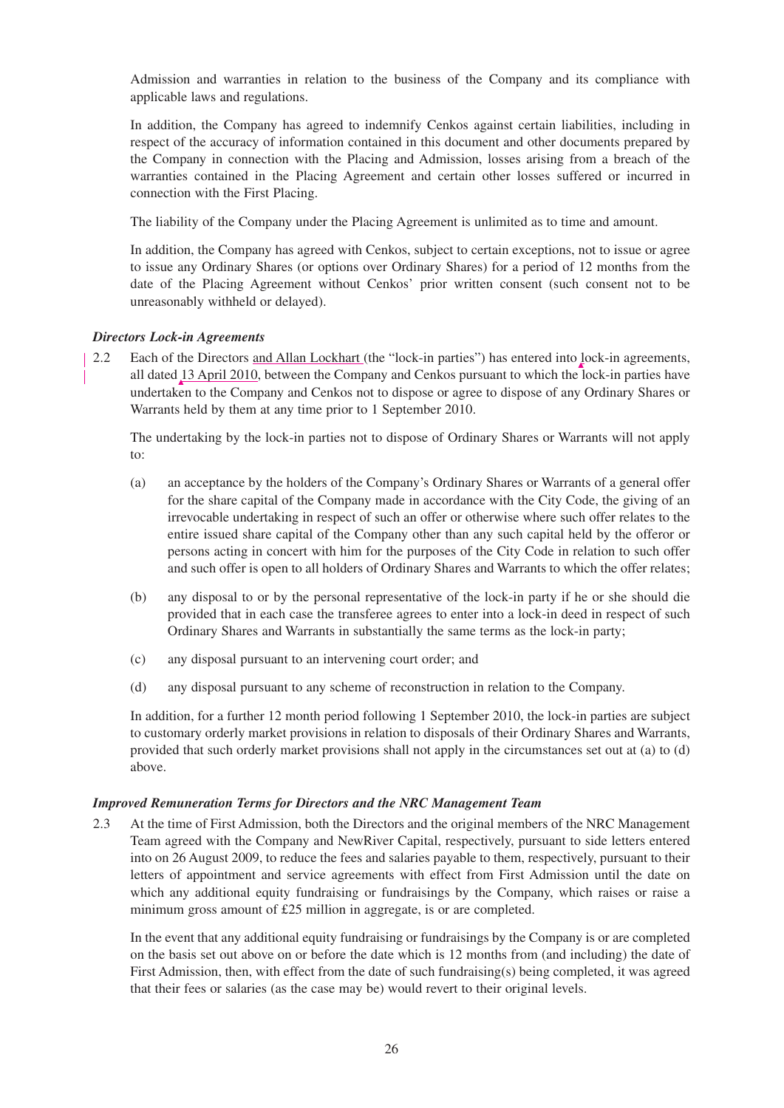Admission and warranties in relation to the business of the Company and its compliance with applicable laws and regulations.

In addition, the Company has agreed to indemnify Cenkos against certain liabilities, including in respect of the accuracy of information contained in this document and other documents prepared by the Company in connection with the Placing and Admission, losses arising from a breach of the warranties contained in the Placing Agreement and certain other losses suffered or incurred in connection with the First Placing.

The liability of the Company under the Placing Agreement is unlimited as to time and amount.

In addition, the Company has agreed with Cenkos, subject to certain exceptions, not to issue or agree to issue any Ordinary Shares (or options over Ordinary Shares) for a period of 12 months from the date of the Placing Agreement without Cenkos' prior written consent (such consent not to be unreasonably withheld or delayed).

# *Directors Lock-in Agreements*

2.2 Each of the Directors and Allan Lockhart (the "lock-in parties") has entered into lock-in agreements, all dated 13 April 2010, between the Company and Cenkos pursuant to which the lock-in parties have undertaken to the Company and Cenkos not to dispose or agree to dispose of any Ordinary Shares or Warrants held by them at any time prior to 1 September 2010.

The undertaking by the lock-in parties not to dispose of Ordinary Shares or Warrants will not apply to:

- (a) an acceptance by the holders of the Company's Ordinary Shares or Warrants of a general offer for the share capital of the Company made in accordance with the City Code, the giving of an irrevocable undertaking in respect of such an offer or otherwise where such offer relates to the entire issued share capital of the Company other than any such capital held by the offeror or persons acting in concert with him for the purposes of the City Code in relation to such offer and such offer is open to all holders of Ordinary Shares and Warrants to which the offer relates;
- (b) any disposal to or by the personal representative of the lock-in party if he or she should die provided that in each case the transferee agrees to enter into a lock-in deed in respect of such Ordinary Shares and Warrants in substantially the same terms as the lock-in party;
- (c) any disposal pursuant to an intervening court order; and
- (d) any disposal pursuant to any scheme of reconstruction in relation to the Company.

In addition, for a further 12 month period following 1 September 2010, the lock-in parties are subject to customary orderly market provisions in relation to disposals of their Ordinary Shares and Warrants, provided that such orderly market provisions shall not apply in the circumstances set out at (a) to (d) above.

# *Improved Remuneration Terms for Directors and the NRC Management Team*

2.3 At the time of First Admission, both the Directors and the original members of the NRC Management Team agreed with the Company and NewRiver Capital, respectively, pursuant to side letters entered into on 26 August 2009, to reduce the fees and salaries payable to them, respectively, pursuant to their letters of appointment and service agreements with effect from First Admission until the date on which any additional equity fundraising or fundraisings by the Company, which raises or raise a minimum gross amount of £25 million in aggregate, is or are completed.

In the event that any additional equity fundraising or fundraisings by the Company is or are completed on the basis set out above on or before the date which is 12 months from (and including) the date of First Admission, then, with effect from the date of such fundraising(s) being completed, it was agreed that their fees or salaries (as the case may be) would revert to their original levels.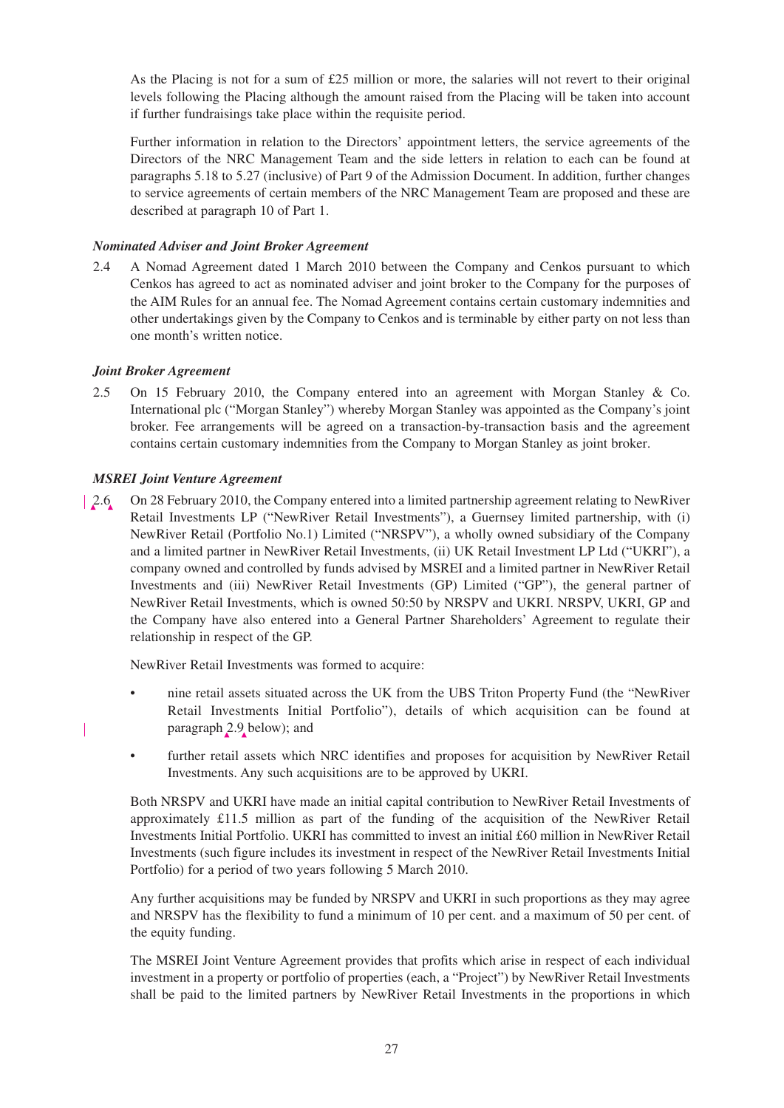As the Placing is not for a sum of £25 million or more, the salaries will not revert to their original levels following the Placing although the amount raised from the Placing will be taken into account if further fundraisings take place within the requisite period.

Further information in relation to the Directors' appointment letters, the service agreements of the Directors of the NRC Management Team and the side letters in relation to each can be found at paragraphs 5.18 to 5.27 (inclusive) of Part 9 of the Admission Document. In addition, further changes to service agreements of certain members of the NRC Management Team are proposed and these are described at paragraph 10 of Part 1.

# *Nominated Adviser and Joint Broker Agreement*

2.4 A Nomad Agreement dated 1 March 2010 between the Company and Cenkos pursuant to which Cenkos has agreed to act as nominated adviser and joint broker to the Company for the purposes of the AIM Rules for an annual fee. The Nomad Agreement contains certain customary indemnities and other undertakings given by the Company to Cenkos and is terminable by either party on not less than one month's written notice.

# *Joint Broker Agreement*

2.5 On 15 February 2010, the Company entered into an agreement with Morgan Stanley & Co. International plc ("Morgan Stanley") whereby Morgan Stanley was appointed as the Company's joint broker. Fee arrangements will be agreed on a transaction-by-transaction basis and the agreement contains certain customary indemnities from the Company to Morgan Stanley as joint broker.

# *MSREI Joint Venture Agreement*

2.6 On 28 February 2010, the Company entered into a limited partnership agreement relating to NewRiver Retail Investments LP ("NewRiver Retail Investments"), a Guernsey limited partnership, with (i) NewRiver Retail (Portfolio No.1) Limited ("NRSPV"), a wholly owned subsidiary of the Company and a limited partner in NewRiver Retail Investments, (ii) UK Retail Investment LP Ltd ("UKRI"), a company owned and controlled by funds advised by MSREI and a limited partner in NewRiver Retail Investments and (iii) NewRiver Retail Investments (GP) Limited ("GP"), the general partner of NewRiver Retail Investments, which is owned 50:50 by NRSPV and UKRI. NRSPV, UKRI, GP and the Company have also entered into a General Partner Shareholders' Agreement to regulate their relationship in respect of the GP.

NewRiver Retail Investments was formed to acquire:

- nine retail assets situated across the UK from the UBS Triton Property Fund (the "NewRiver Retail Investments Initial Portfolio"), details of which acquisition can be found at paragraph 2.9 below); and
- further retail assets which NRC identifies and proposes for acquisition by NewRiver Retail Investments. Any such acquisitions are to be approved by UKRI.

Both NRSPV and UKRI have made an initial capital contribution to NewRiver Retail Investments of approximately £11.5 million as part of the funding of the acquisition of the NewRiver Retail Investments Initial Portfolio. UKRI has committed to invest an initial £60 million in NewRiver Retail Investments (such figure includes its investment in respect of the NewRiver Retail Investments Initial Portfolio) for a period of two years following 5 March 2010.

Any further acquisitions may be funded by NRSPV and UKRI in such proportions as they may agree and NRSPV has the flexibility to fund a minimum of 10 per cent. and a maximum of 50 per cent. of the equity funding.

The MSREI Joint Venture Agreement provides that profits which arise in respect of each individual investment in a property or portfolio of properties (each, a "Project") by NewRiver Retail Investments shall be paid to the limited partners by NewRiver Retail Investments in the proportions in which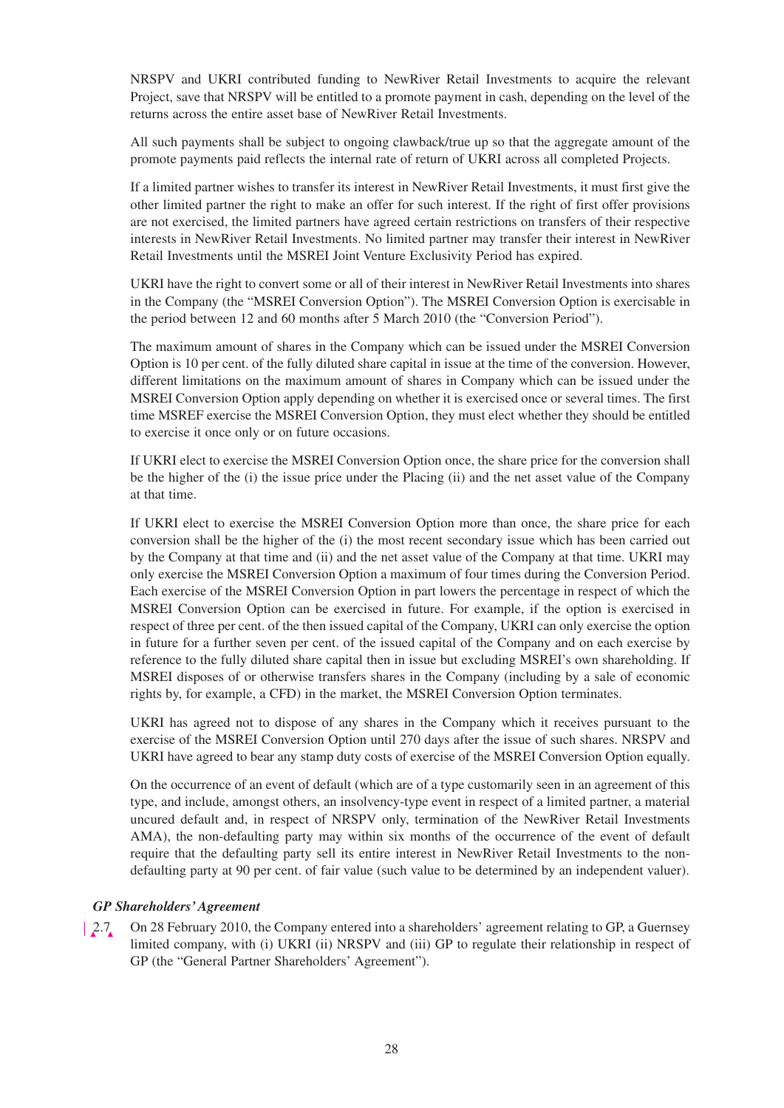NRSPV and UKRI contributed funding to NewRiver Retail Investments to acquire the relevant Project, save that NRSPV will be entitled to a promote payment in cash, depending on the level of the returns across the entire asset base of NewRiver Retail Investments.

All such payments shall be subject to ongoing clawback/true up so that the aggregate amount of the promote payments paid reflects the internal rate of return of UKRI across all completed Projects.

If a limited partner wishes to transfer its interest in NewRiver Retail Investments, it must first give the other limited partner the right to make an offer for such interest. If the right of first offer provisions are not exercised, the limited partners have agreed certain restrictions on transfers of their respective interests in NewRiver Retail Investments. No limited partner may transfer their interest in NewRiver Retail Investments until the MSREI Joint Venture Exclusivity Period has expired.

UKRI have the right to convert some or all of their interest in NewRiver Retail Investments into shares in the Company (the "MSREI Conversion Option"). The MSREI Conversion Option is exercisable in the period between 12 and 60 months after 5 March 2010 (the "Conversion Period").

The maximum amount of shares in the Company which can be issued under the MSREI Conversion Option is 10 per cent. of the fully diluted share capital in issue at the time of the conversion. However, different limitations on the maximum amount of shares in Company which can be issued under the MSREI Conversion Option apply depending on whether it is exercised once or several times. The first time MSREF exercise the MSREI Conversion Option, they must elect whether they should be entitled to exercise it once only or on future occasions.

If UKRI elect to exercise the MSREI Conversion Option once, the share price for the conversion shall be the higher of the (i) the issue price under the Placing (ii) and the net asset value of the Company at that time.

If UKRI elect to exercise the MSREI Conversion Option more than once, the share price for each conversion shall be the higher of the (i) the most recent secondary issue which has been carried out by the Company at that time and (ii) and the net asset value of the Company at that time. UKRI may only exercise the MSREI Conversion Option a maximum of four times during the Conversion Period. Each exercise of the MSREI Conversion Option in part lowers the percentage in respect of which the MSREI Conversion Option can be exercised in future. For example, if the option is exercised in respect of three per cent. of the then issued capital of the Company, UKRI can only exercise the option in future for a further seven per cent. of the issued capital of the Company and on each exercise by reference to the fully diluted share capital then in issue but excluding MSREI's own shareholding. If MSREI disposes of or otherwise transfers shares in the Company (including by a sale of economic rights by, for example, a CFD) in the market, the MSREI Conversion Option terminates.

UKRI has agreed not to dispose of any shares in the Company which it receives pursuant to the exercise of the MSREI Conversion Option until 270 days after the issue of such shares. NRSPV and UKRI have agreed to bear any stamp duty costs of exercise of the MSREI Conversion Option equally.

On the occurrence of an event of default (which are of a type customarily seen in an agreement of this type, and include, amongst others, an insolvency-type event in respect of a limited partner, a material uncured default and, in respect of NRSPV only, termination of the NewRiver Retail Investments AMA), the non-defaulting party may within six months of the occurrence of the event of default require that the defaulting party sell its entire interest in NewRiver Retail Investments to the nondefaulting party at 90 per cent. of fair value (such value to be determined by an independent valuer).

### *GP Shareholders' Agreement*

2.7 On 28 February 2010, the Company entered into a shareholders' agreement relating to GP, a Guernsey limited company, with (i) UKRI (ii) NRSPV and (iii) GP to regulate their relationship in respect of GP (the "General Partner Shareholders' Agreement").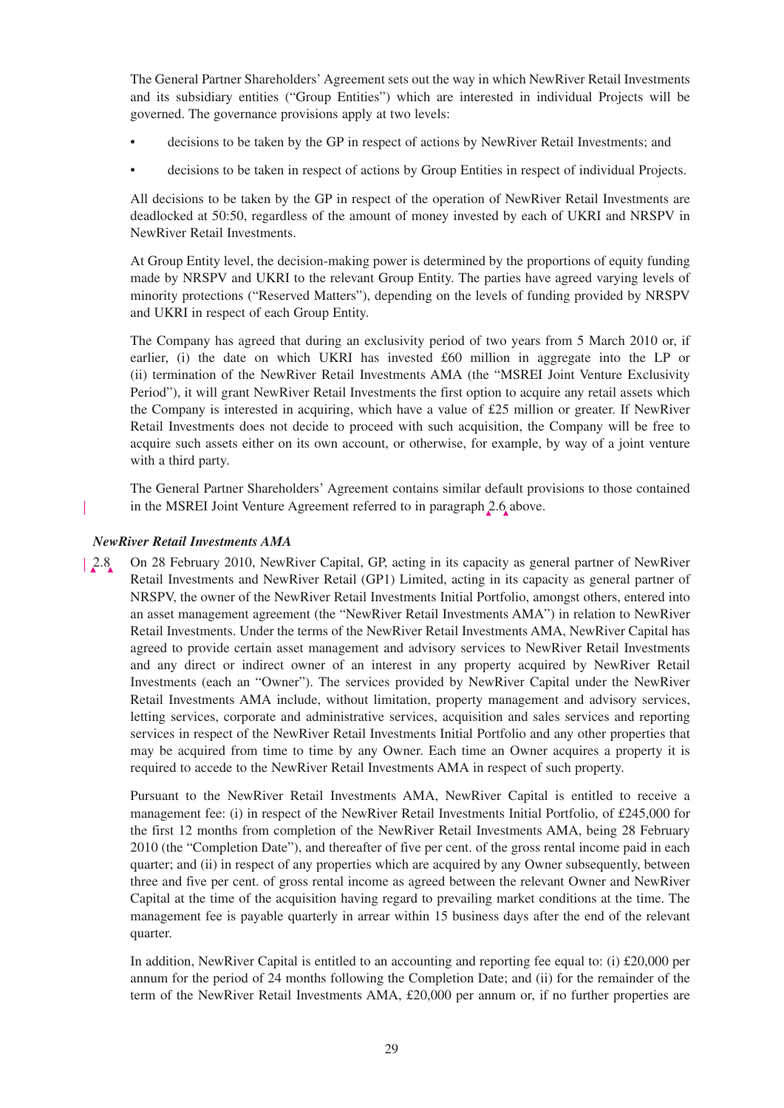The General Partner Shareholders' Agreement sets out the way in which NewRiver Retail Investments and its subsidiary entities ("Group Entities") which are interested in individual Projects will be governed. The governance provisions apply at two levels:

- decisions to be taken by the GP in respect of actions by NewRiver Retail Investments; and
- decisions to be taken in respect of actions by Group Entities in respect of individual Projects.

All decisions to be taken by the GP in respect of the operation of NewRiver Retail Investments are deadlocked at 50:50, regardless of the amount of money invested by each of UKRI and NRSPV in NewRiver Retail Investments.

At Group Entity level, the decision-making power is determined by the proportions of equity funding made by NRSPV and UKRI to the relevant Group Entity. The parties have agreed varying levels of minority protections ("Reserved Matters"), depending on the levels of funding provided by NRSPV and UKRI in respect of each Group Entity.

The Company has agreed that during an exclusivity period of two years from 5 March 2010 or, if earlier, (i) the date on which UKRI has invested £60 million in aggregate into the LP or (ii) termination of the NewRiver Retail Investments AMA (the "MSREI Joint Venture Exclusivity Period"), it will grant NewRiver Retail Investments the first option to acquire any retail assets which the Company is interested in acquiring, which have a value of £25 million or greater. If NewRiver Retail Investments does not decide to proceed with such acquisition, the Company will be free to acquire such assets either on its own account, or otherwise, for example, by way of a joint venture with a third party.

The General Partner Shareholders' Agreement contains similar default provisions to those contained in the MSREI Joint Venture Agreement referred to in paragraph 2.6 above.

# *NewRiver Retail Investments AMA*

I

2.8 On 28 February 2010, NewRiver Capital, GP, acting in its capacity as general partner of NewRiver Retail Investments and NewRiver Retail (GP1) Limited, acting in its capacity as general partner of NRSPV, the owner of the NewRiver Retail Investments Initial Portfolio, amongst others, entered into an asset management agreement (the "NewRiver Retail Investments AMA") in relation to NewRiver Retail Investments. Under the terms of the NewRiver Retail Investments AMA, NewRiver Capital has agreed to provide certain asset management and advisory services to NewRiver Retail Investments and any direct or indirect owner of an interest in any property acquired by NewRiver Retail Investments (each an "Owner"). The services provided by NewRiver Capital under the NewRiver Retail Investments AMA include, without limitation, property management and advisory services, letting services, corporate and administrative services, acquisition and sales services and reporting services in respect of the NewRiver Retail Investments Initial Portfolio and any other properties that may be acquired from time to time by any Owner. Each time an Owner acquires a property it is required to accede to the NewRiver Retail Investments AMA in respect of such property.

Pursuant to the NewRiver Retail Investments AMA, NewRiver Capital is entitled to receive a management fee: (i) in respect of the NewRiver Retail Investments Initial Portfolio, of £245,000 for the first 12 months from completion of the NewRiver Retail Investments AMA, being 28 February 2010 (the "Completion Date"), and thereafter of five per cent. of the gross rental income paid in each quarter; and (ii) in respect of any properties which are acquired by any Owner subsequently, between three and five per cent. of gross rental income as agreed between the relevant Owner and NewRiver Capital at the time of the acquisition having regard to prevailing market conditions at the time. The management fee is payable quarterly in arrear within 15 business days after the end of the relevant quarter.

In addition, NewRiver Capital is entitled to an accounting and reporting fee equal to: (i) £20,000 per annum for the period of 24 months following the Completion Date; and (ii) for the remainder of the term of the NewRiver Retail Investments AMA, £20,000 per annum or, if no further properties are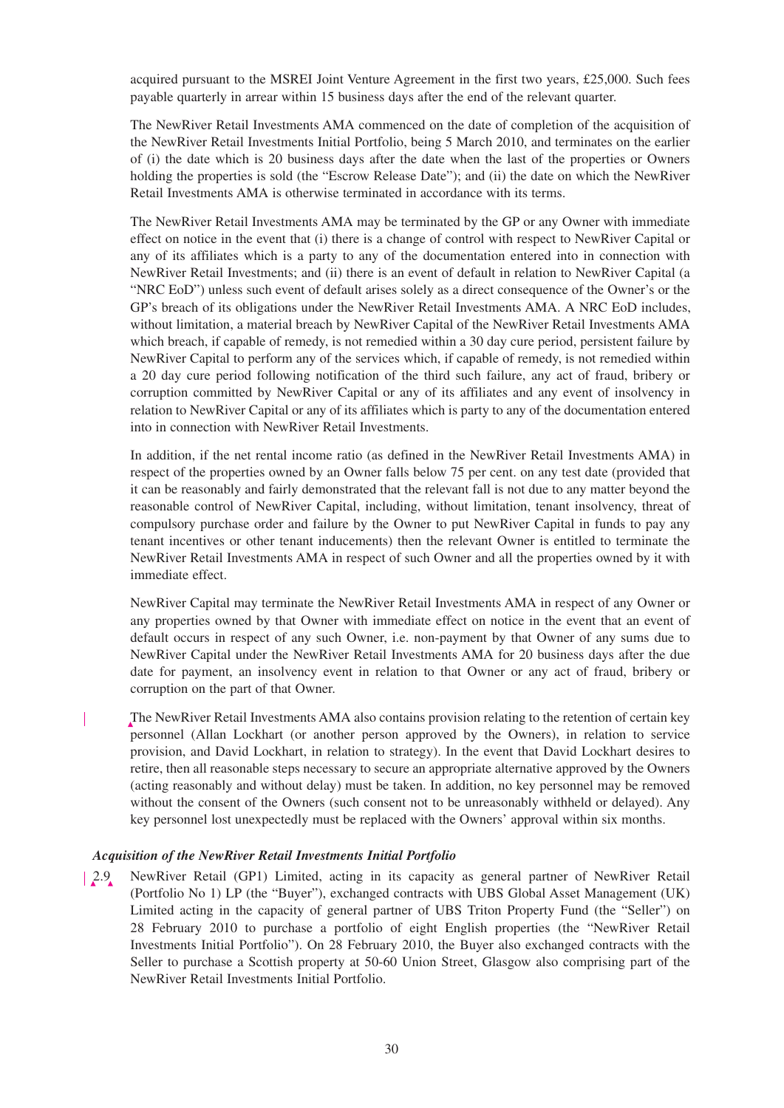acquired pursuant to the MSREI Joint Venture Agreement in the first two years, £25,000. Such fees payable quarterly in arrear within 15 business days after the end of the relevant quarter.

The NewRiver Retail Investments AMA commenced on the date of completion of the acquisition of the NewRiver Retail Investments Initial Portfolio, being 5 March 2010, and terminates on the earlier of (i) the date which is 20 business days after the date when the last of the properties or Owners holding the properties is sold (the "Escrow Release Date"); and (ii) the date on which the NewRiver Retail Investments AMA is otherwise terminated in accordance with its terms.

The NewRiver Retail Investments AMA may be terminated by the GP or any Owner with immediate effect on notice in the event that (i) there is a change of control with respect to NewRiver Capital or any of its affiliates which is a party to any of the documentation entered into in connection with NewRiver Retail Investments; and (ii) there is an event of default in relation to NewRiver Capital (a "NRC EoD") unless such event of default arises solely as a direct consequence of the Owner's or the GP's breach of its obligations under the NewRiver Retail Investments AMA. A NRC EoD includes, without limitation, a material breach by NewRiver Capital of the NewRiver Retail Investments AMA which breach, if capable of remedy, is not remedied within a 30 day cure period, persistent failure by NewRiver Capital to perform any of the services which, if capable of remedy, is not remedied within a 20 day cure period following notification of the third such failure, any act of fraud, bribery or corruption committed by NewRiver Capital or any of its affiliates and any event of insolvency in relation to NewRiver Capital or any of its affiliates which is party to any of the documentation entered into in connection with NewRiver Retail Investments.

In addition, if the net rental income ratio (as defined in the NewRiver Retail Investments AMA) in respect of the properties owned by an Owner falls below 75 per cent. on any test date (provided that it can be reasonably and fairly demonstrated that the relevant fall is not due to any matter beyond the reasonable control of NewRiver Capital, including, without limitation, tenant insolvency, threat of compulsory purchase order and failure by the Owner to put NewRiver Capital in funds to pay any tenant incentives or other tenant inducements) then the relevant Owner is entitled to terminate the NewRiver Retail Investments AMA in respect of such Owner and all the properties owned by it with immediate effect.

NewRiver Capital may terminate the NewRiver Retail Investments AMA in respect of any Owner or any properties owned by that Owner with immediate effect on notice in the event that an event of default occurs in respect of any such Owner, i.e. non-payment by that Owner of any sums due to NewRiver Capital under the NewRiver Retail Investments AMA for 20 business days after the due date for payment, an insolvency event in relation to that Owner or any act of fraud, bribery or corruption on the part of that Owner.

The NewRiver Retail Investments AMA also contains provision relating to the retention of certain key personnel (Allan Lockhart (or another person approved by the Owners), in relation to service provision, and David Lockhart, in relation to strategy). In the event that David Lockhart desires to retire, then all reasonable steps necessary to secure an appropriate alternative approved by the Owners (acting reasonably and without delay) must be taken. In addition, no key personnel may be removed without the consent of the Owners (such consent not to be unreasonably withheld or delayed). Any key personnel lost unexpectedly must be replaced with the Owners' approval within six months.

# *Acquisition of the NewRiver Retail Investments Initial Portfolio*

2.9 NewRiver Retail (GP1) Limited, acting in its capacity as general partner of NewRiver Retail (Portfolio No 1) LP (the "Buyer"), exchanged contracts with UBS Global Asset Management (UK) Limited acting in the capacity of general partner of UBS Triton Property Fund (the "Seller") on 28 February 2010 to purchase a portfolio of eight English properties (the "NewRiver Retail Investments Initial Portfolio"). On 28 February 2010, the Buyer also exchanged contracts with the Seller to purchase a Scottish property at 50-60 Union Street, Glasgow also comprising part of the NewRiver Retail Investments Initial Portfolio.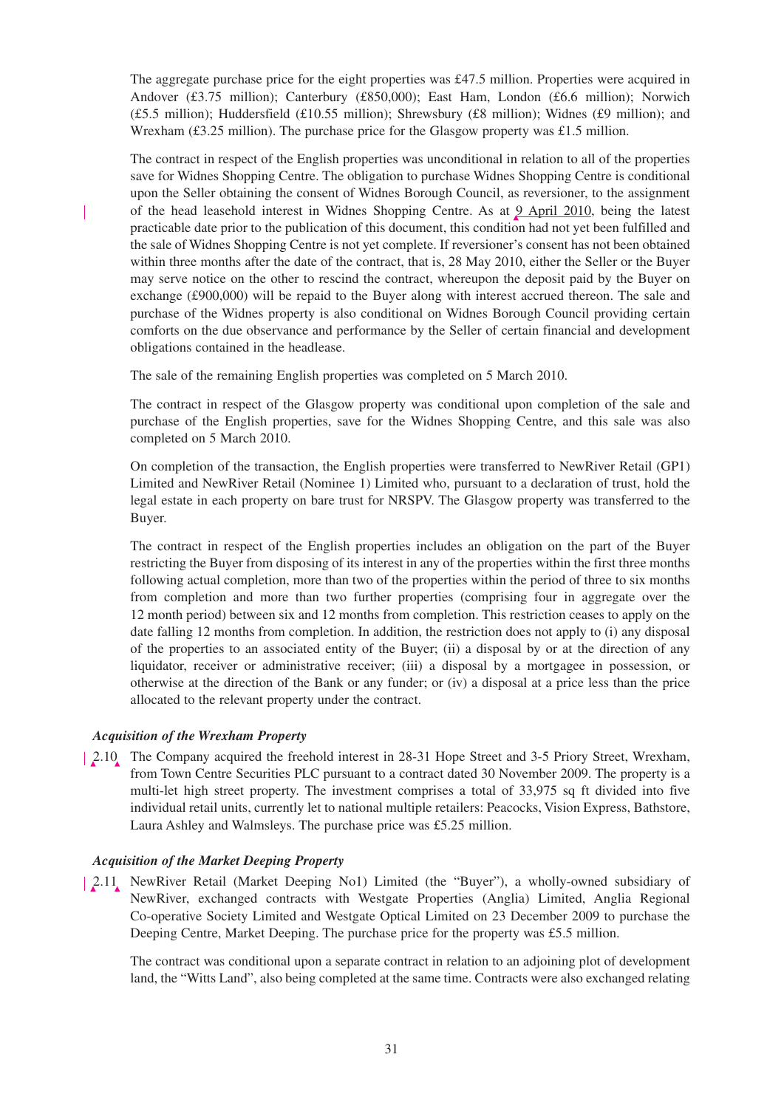The aggregate purchase price for the eight properties was £47.5 million. Properties were acquired in Andover (£3.75 million); Canterbury (£850,000); East Ham, London (£6.6 million); Norwich  $(£5.5 \text{ million})$ ; Huddersfield  $(£10.55 \text{ million})$ ; Shrewsbury  $(£8 \text{ million})$ ; Widnes  $(£9 \text{ million})$ ; and Wrexham (£3.25 million). The purchase price for the Glasgow property was £1.5 million.

The contract in respect of the English properties was unconditional in relation to all of the properties save for Widnes Shopping Centre. The obligation to purchase Widnes Shopping Centre is conditional upon the Seller obtaining the consent of Widnes Borough Council, as reversioner, to the assignment of the head leasehold interest in Widnes Shopping Centre. As at 9 April 2010, being the latest practicable date prior to the publication of this document, this condition had not yet been fulfilled and the sale of Widnes Shopping Centre is not yet complete. If reversioner's consent has not been obtained within three months after the date of the contract, that is, 28 May 2010, either the Seller or the Buyer may serve notice on the other to rescind the contract, whereupon the deposit paid by the Buyer on exchange (£900,000) will be repaid to the Buyer along with interest accrued thereon. The sale and purchase of the Widnes property is also conditional on Widnes Borough Council providing certain comforts on the due observance and performance by the Seller of certain financial and development obligations contained in the headlease.

The sale of the remaining English properties was completed on 5 March 2010.

The contract in respect of the Glasgow property was conditional upon completion of the sale and purchase of the English properties, save for the Widnes Shopping Centre, and this sale was also completed on 5 March 2010.

On completion of the transaction, the English properties were transferred to NewRiver Retail (GP1) Limited and NewRiver Retail (Nominee 1) Limited who, pursuant to a declaration of trust, hold the legal estate in each property on bare trust for NRSPV. The Glasgow property was transferred to the Buyer.

The contract in respect of the English properties includes an obligation on the part of the Buyer restricting the Buyer from disposing of its interest in any of the properties within the first three months following actual completion, more than two of the properties within the period of three to six months from completion and more than two further properties (comprising four in aggregate over the 12 month period) between six and 12 months from completion. This restriction ceases to apply on the date falling 12 months from completion. In addition, the restriction does not apply to (i) any disposal of the properties to an associated entity of the Buyer; (ii) a disposal by or at the direction of any liquidator, receiver or administrative receiver; (iii) a disposal by a mortgagee in possession, or otherwise at the direction of the Bank or any funder; or (iv) a disposal at a price less than the price allocated to the relevant property under the contract.

# *Acquisition of the Wrexham Property*

2.10 The Company acquired the freehold interest in 28-31 Hope Street and 3-5 Priory Street, Wrexham, from Town Centre Securities PLC pursuant to a contract dated 30 November 2009. The property is a multi-let high street property. The investment comprises a total of 33,975 sq ft divided into five individual retail units, currently let to national multiple retailers: Peacocks, Vision Express, Bathstore, Laura Ashley and Walmsleys. The purchase price was £5.25 million.

# *Acquisition of the Market Deeping Property*

2.11 NewRiver Retail (Market Deeping No1) Limited (the "Buyer"), a wholly-owned subsidiary of NewRiver, exchanged contracts with Westgate Properties (Anglia) Limited, Anglia Regional Co-operative Society Limited and Westgate Optical Limited on 23 December 2009 to purchase the Deeping Centre, Market Deeping. The purchase price for the property was £5.5 million.

The contract was conditional upon a separate contract in relation to an adjoining plot of development land, the "Witts Land", also being completed at the same time. Contracts were also exchanged relating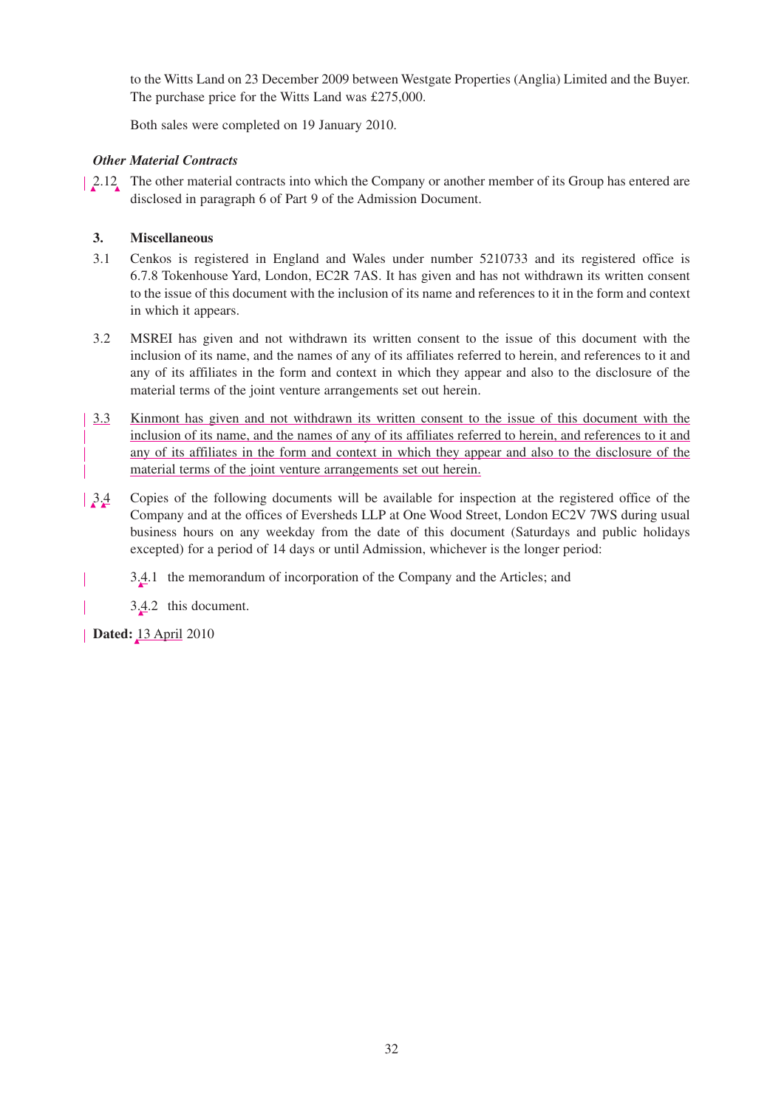to the Witts Land on 23 December 2009 between Westgate Properties (Anglia) Limited and the Buyer. The purchase price for the Witts Land was £275,000.

Both sales were completed on 19 January 2010.

# *Other Material Contracts*

2.12 The other material contracts into which the Company or another member of its Group has entered are disclosed in paragraph 6 of Part 9 of the Admission Document.

# **3. Miscellaneous**

- 3.1 Cenkos is registered in England and Wales under number 5210733 and its registered office is 6.7.8 Tokenhouse Yard, London, EC2R 7AS. It has given and has not withdrawn its written consent to the issue of this document with the inclusion of its name and references to it in the form and context in which it appears.
- 3.2 MSREI has given and not withdrawn its written consent to the issue of this document with the inclusion of its name, and the names of any of its affiliates referred to herein, and references to it and any of its affiliates in the form and context in which they appear and also to the disclosure of the material terms of the joint venture arrangements set out herein.
- 3.3 Kinmont has given and not withdrawn its written consent to the issue of this document with the inclusion of its name, and the names of any of its affiliates referred to herein, and references to it and any of its affiliates in the form and context in which they appear and also to the disclosure of the material terms of the joint venture arrangements set out herein.
- 3.4 Copies of the following documents will be available for inspection at the registered office of the Company and at the offices of Eversheds LLP at One Wood Street, London EC2V 7WS during usual business hours on any weekday from the date of this document (Saturdays and public holidays excepted) for a period of 14 days or until Admission, whichever is the longer period:
- 3.4.1 the memorandum of incorporation of the Company and the Articles; and

3.4.2 this document.

**Dated:** 13 April 2010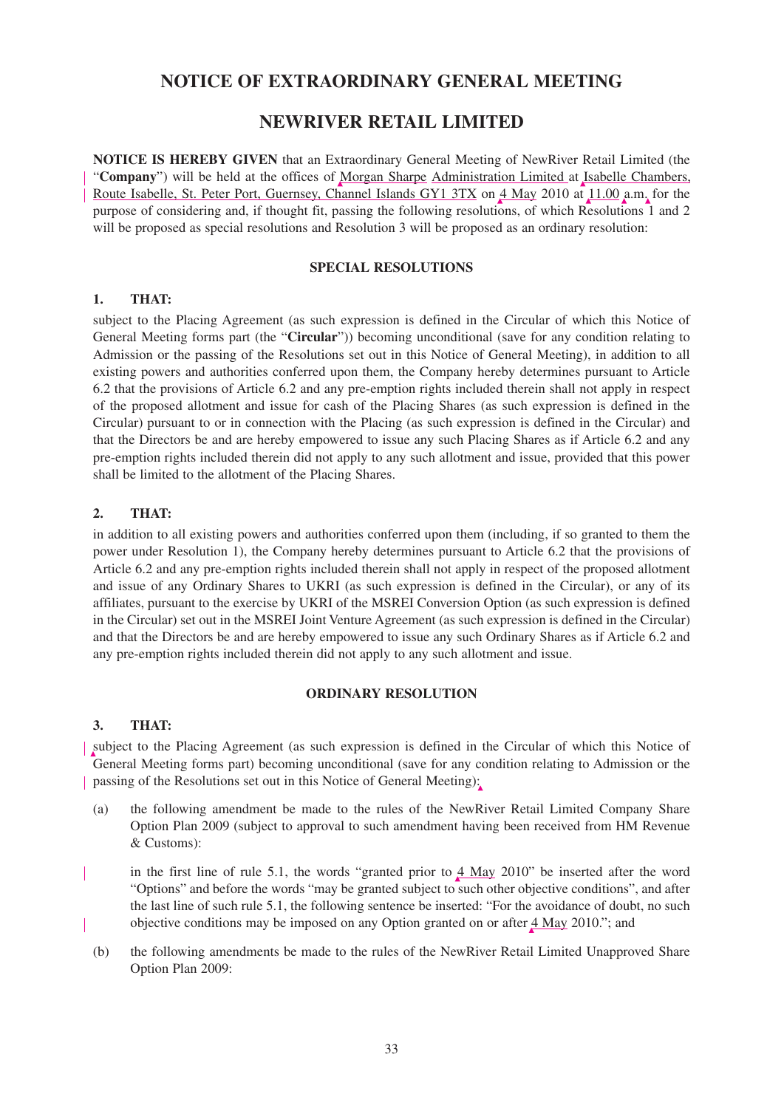# **NOTICE OF EXTRAORDINARY GENERAL MEETING**

# **NEWRIVER RETAIL LIMITED**

**NOTICE IS HEREBY GIVEN** that an Extraordinary General Meeting of NewRiver Retail Limited (the "**Company**") will be held at the offices of Morgan Sharpe Administration Limited at Isabelle Chambers, Route Isabelle, St. Peter Port, Guernsey, Channel Islands GY1 3TX on 4 May 2010 at 11.00 a.m. for the purpose of considering and, if thought fit, passing the following resolutions, of which Resolutions 1 and 2 will be proposed as special resolutions and Resolution 3 will be proposed as an ordinary resolution:

# **SPECIAL RESOLUTIONS**

## **1. THAT:**

subject to the Placing Agreement (as such expression is defined in the Circular of which this Notice of General Meeting forms part (the "**Circular**")) becoming unconditional (save for any condition relating to Admission or the passing of the Resolutions set out in this Notice of General Meeting), in addition to all existing powers and authorities conferred upon them, the Company hereby determines pursuant to Article 6.2 that the provisions of Article 6.2 and any pre-emption rights included therein shall not apply in respect of the proposed allotment and issue for cash of the Placing Shares (as such expression is defined in the Circular) pursuant to or in connection with the Placing (as such expression is defined in the Circular) and that the Directors be and are hereby empowered to issue any such Placing Shares as if Article 6.2 and any pre-emption rights included therein did not apply to any such allotment and issue, provided that this power shall be limited to the allotment of the Placing Shares.

# **2. THAT:**

in addition to all existing powers and authorities conferred upon them (including, if so granted to them the power under Resolution 1), the Company hereby determines pursuant to Article 6.2 that the provisions of Article 6.2 and any pre-emption rights included therein shall not apply in respect of the proposed allotment and issue of any Ordinary Shares to UKRI (as such expression is defined in the Circular), or any of its affiliates, pursuant to the exercise by UKRI of the MSREI Conversion Option (as such expression is defined in the Circular) set out in the MSREI Joint Venture Agreement (as such expression is defined in the Circular) and that the Directors be and are hereby empowered to issue any such Ordinary Shares as if Article 6.2 and any pre-emption rights included therein did not apply to any such allotment and issue.

### **ORDINARY RESOLUTION**

# **3. THAT:**

subject to the Placing Agreement (as such expression is defined in the Circular of which this Notice of General Meeting forms part) becoming unconditional (save for any condition relating to Admission or the passing of the Resolutions set out in this Notice of General Meeting):

- (a) the following amendment be made to the rules of the NewRiver Retail Limited Company Share Option Plan 2009 (subject to approval to such amendment having been received from HM Revenue & Customs):
- in the first line of rule 5.1, the words "granted prior to  $4$  May 2010" be inserted after the word "Options" and before the words "may be granted subject to such other objective conditions", and after the last line of such rule 5.1, the following sentence be inserted: "For the avoidance of doubt, no such objective conditions may be imposed on any Option granted on or after 4 May 2010."; and
- (b) the following amendments be made to the rules of the NewRiver Retail Limited Unapproved Share Option Plan 2009: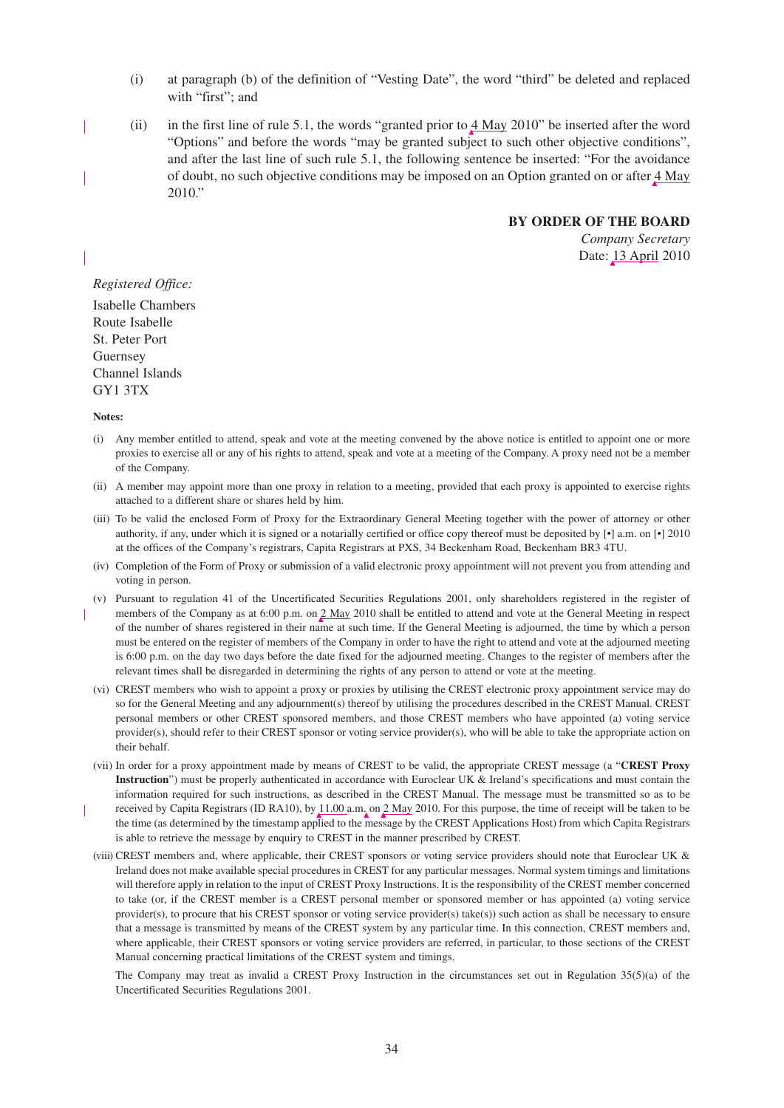- (i) at paragraph (b) of the definition of "Vesting Date", the word "third" be deleted and replaced with "first": and
- (ii) in the first line of rule 5.1, the words "granted prior to  $\frac{4 \text{ May}}{2010}$ " be inserted after the word "Options" and before the words "may be granted subject to such other objective conditions", and after the last line of such rule 5.1, the following sentence be inserted: "For the avoidance of doubt, no such objective conditions may be imposed on an Option granted on or after  $4$  May 2010."

#### **BY ORDER OF THE BOARD**

*Company Secretary* Date: 13 April 2010

#### *Registered Office:*

Isabelle Chambers Route Isabelle St. Peter Port Guernsey Channel Islands GY1 3TX

#### **Notes:**

- (i) Any member entitled to attend, speak and vote at the meeting convened by the above notice is entitled to appoint one or more proxies to exercise all or any of his rights to attend, speak and vote at a meeting of the Company. A proxy need not be a member of the Company.
- (ii) A member may appoint more than one proxy in relation to a meeting, provided that each proxy is appointed to exercise rights attached to a different share or shares held by him.
- (iii) To be valid the enclosed Form of Proxy for the Extraordinary General Meeting together with the power of attorney or other authority, if any, under which it is signed or a notarially certified or office copy thereof must be deposited by [•] a.m. on [•] 2010 at the offices of the Company's registrars, Capita Registrars at PXS, 34 Beckenham Road, Beckenham BR3 4TU.
- (iv) Completion of the Form of Proxy or submission of a valid electronic proxy appointment will not prevent you from attending and voting in person.
- (v) Pursuant to regulation 41 of the Uncertificated Securities Regulations 2001, only shareholders registered in the register of members of the Company as at 6:00 p.m. on 2 May 2010 shall be entitled to attend and vote at the General Meeting in respect of the number of shares registered in their name at such time. If the General Meeting is adjourned, the time by which a person must be entered on the register of members of the Company in order to have the right to attend and vote at the adjourned meeting is 6:00 p.m. on the day two days before the date fixed for the adjourned meeting. Changes to the register of members after the relevant times shall be disregarded in determining the rights of any person to attend or vote at the meeting.
- (vi) CREST members who wish to appoint a proxy or proxies by utilising the CREST electronic proxy appointment service may do so for the General Meeting and any adjournment(s) thereof by utilising the procedures described in the CREST Manual. CREST personal members or other CREST sponsored members, and those CREST members who have appointed (a) voting service provider(s), should refer to their CREST sponsor or voting service provider(s), who will be able to take the appropriate action on their behalf.
- (vii) In order for a proxy appointment made by means of CREST to be valid, the appropriate CREST message (a "**CREST Proxy Instruction**") must be properly authenticated in accordance with Euroclear UK & Ireland's specifications and must contain the information required for such instructions, as described in the CREST Manual. The message must be transmitted so as to be received by Capita Registrars (ID RA10), by  $11.00$  a.m. on  $2$  May 2010. For this purpose, the time of receipt will be taken to be the time (as determined by the timestamp applied to the message by the CREST Applications Host) from which Capita Registrars is able to retrieve the message by enquiry to CREST in the manner prescribed by CREST.
- (viii) CREST members and, where applicable, their CREST sponsors or voting service providers should note that Euroclear UK & Ireland does not make available special procedures in CREST for any particular messages. Normal system timings and limitations will therefore apply in relation to the input of CREST Proxy Instructions. It is the responsibility of the CREST member concerned to take (or, if the CREST member is a CREST personal member or sponsored member or has appointed (a) voting service provider(s), to procure that his CREST sponsor or voting service provider(s) take(s)) such action as shall be necessary to ensure that a message is transmitted by means of the CREST system by any particular time. In this connection, CREST members and, where applicable, their CREST sponsors or voting service providers are referred, in particular, to those sections of the CREST Manual concerning practical limitations of the CREST system and timings.

The Company may treat as invalid a CREST Proxy Instruction in the circumstances set out in Regulation 35(5)(a) of the Uncertificated Securities Regulations 2001.